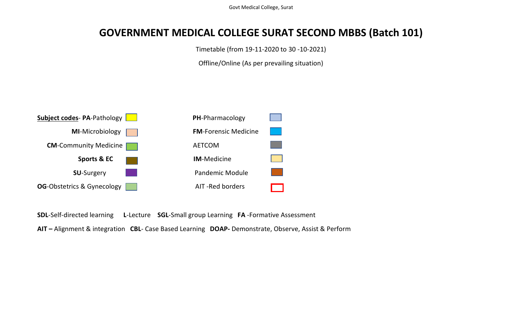Govt Medical College, Surat

## **GOVERNMENT MEDICAL COLLEGE SURAT SECOND MBBS (Batch 101)**

Timetable (from 19-11-2020 to 30 -10-2021)

Offline/Online (As per prevailing situation)



**SDL**-Self-directed learning **L**-Lecture **SGL**-Small group Learning **FA** -Formative Assessment

**AIT –** Alignment & integration **CBL**- Case Based Learning **DOAP-** Demonstrate, Observe, Assist & Perform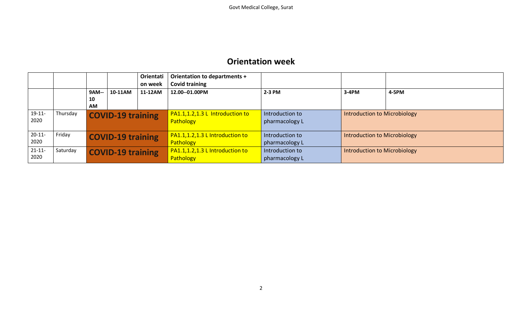## **Orientation week**

|                   |          |                          | Orientati<br>on week | Orientation to departments +<br><b>Covid training</b> |                                   |                                     |       |
|-------------------|----------|--------------------------|----------------------|-------------------------------------------------------|-----------------------------------|-------------------------------------|-------|
|                   |          | 9AM--<br>10-11AM         | 11-12AM              | 12.00--01.00PM                                        | 2-3 PM                            | 3-4PM                               | 4-5PM |
|                   |          | 10                       |                      |                                                       |                                   |                                     |       |
|                   |          | AM                       |                      |                                                       |                                   |                                     |       |
| $19-11-$<br>2020  | Thursday | <b>COVID-19 training</b> |                      | PA1.1,1.2,1.3 L Introduction to<br>Pathology          | Introduction to<br>pharmacology L | Introduction to Microbiology        |       |
| $20-11-$<br>2020  | Friday   | <b>COVID-19 training</b> |                      | PA1.1,1.2,1.3 L Introduction to<br>Pathology          | Introduction to<br>pharmacology L | <b>Introduction to Microbiology</b> |       |
| $21 - 11$<br>2020 | Saturday | <b>COVID-19 training</b> |                      | PA1.1,1.2,1.3 L Introduction to<br>Pathology          | Introduction to<br>pharmacology L | Introduction to Microbiology        |       |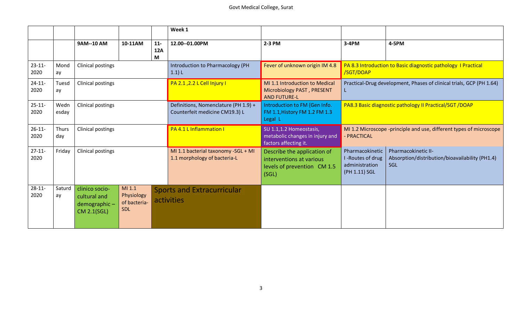|                     |               |                                                                      |                                                    |                   | Week 1                                                                 |                                                                                                 |                                                                        |                                                                               |  |  |
|---------------------|---------------|----------------------------------------------------------------------|----------------------------------------------------|-------------------|------------------------------------------------------------------------|-------------------------------------------------------------------------------------------------|------------------------------------------------------------------------|-------------------------------------------------------------------------------|--|--|
|                     |               | 9AM--10 AM                                                           | 10-11AM                                            | $11-$<br>12A<br>M | 12.00--01.00PM                                                         | 2-3 PM                                                                                          | 3-4PM                                                                  | 4-5PM                                                                         |  |  |
| $23-11-$<br>2020    | Mond<br>ay    | <b>Clinical postings</b>                                             |                                                    |                   | Introduction to Pharmacology (PH<br>$1.1$ ) L                          | Fever of unknown origin IM 4.8                                                                  | /SGT/DOAP                                                              | PA 8.3 Introduction to Basic diagnostic pathology I Practical                 |  |  |
| $24 - 11 -$<br>2020 | Tuesd<br>ay   | <b>Clinical postings</b>                                             |                                                    |                   | PA 2.1, 2.2 L Cell Injury I                                            | MI 1.1 Introduction to Medical<br>Microbiology PAST, PRESENT<br><b>AND FUTURE-L</b>             |                                                                        | Practical-Drug development, Phases of clinical trials, GCP (PH 1.64)          |  |  |
| $25 - 11 -$<br>2020 | Wedn<br>esday | <b>Clinical postings</b>                                             |                                                    |                   | Definitions, Nomenclature (PH 1.9) +<br>Counterfeit medicine CM19.3) L | Introduction to FM (Gen Info.<br>FM 1.1, History FM 1.2 FM 1.3<br>Legal L                       | PA8.3 Basic diagnostic pathology II Practical/SGT /DOAP                |                                                                               |  |  |
| $26 - 11 -$<br>2020 | Thurs<br>day  | <b>Clinical postings</b>                                             |                                                    |                   | PA 4.1 L Inflammation I                                                | SU 1.1,1.2 Homeostasis,<br>metabolic changes in injury and<br>factors affecting it.             | - PRACTICAL                                                            | MI 1.2 Microscope -principle and use, different types of microscope           |  |  |
| $27-11-$<br>2020    | Friday        | <b>Clinical postings</b>                                             |                                                    |                   | MI 1.1 bacterial taxonomy -SGL + MI<br>1.1 morphology of bacteria-L    | Describe the application of<br>interventions at various<br>levels of prevention CM 1.5<br>(SGL) | Pharmacokinetic<br>I-Routes of drug<br>administration<br>(PH 1.11) SGL | Pharmacokinetic II-<br>Absorption/distribution/bioavailability (PH1.4)<br>SGL |  |  |
| $28 - 11$<br>2020   | Saturd<br>ay  | clinico socio-<br>cultural and<br>demographic-<br><b>CM 2.1(SGL)</b> | MI 1.1<br>Physiology<br>of bacteria-<br><b>SDL</b> |                   | <b>Sports and Extracurricular</b><br>activities                        |                                                                                                 |                                                                        |                                                                               |  |  |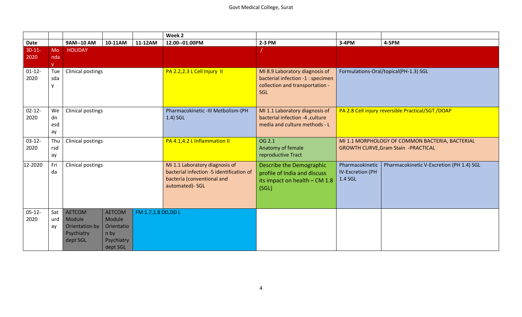|                     |                       |                                                                     |                                                                         |                     | Week 2                                                                                                                       |                                                                                                               |                                                       |                                                                                               |  |  |
|---------------------|-----------------------|---------------------------------------------------------------------|-------------------------------------------------------------------------|---------------------|------------------------------------------------------------------------------------------------------------------------------|---------------------------------------------------------------------------------------------------------------|-------------------------------------------------------|-----------------------------------------------------------------------------------------------|--|--|
| Date                |                       | 9AM--10 AM                                                          | 10-11AM                                                                 | 11-12AM             | 12.00--01.00PM                                                                                                               | 2-3 PM                                                                                                        | 3-4PM                                                 | 4-5PM                                                                                         |  |  |
| $30 - 11$           | Mo                    | <b>HOLIDAY</b>                                                      |                                                                         |                     |                                                                                                                              |                                                                                                               |                                                       |                                                                                               |  |  |
| 2020                | nda                   |                                                                     |                                                                         |                     |                                                                                                                              |                                                                                                               |                                                       |                                                                                               |  |  |
| $01-12-$<br>2020    | Tue<br>sda            | <b>Clinical postings</b>                                            |                                                                         |                     | PA 2.2,2.3 L Cell Injury II                                                                                                  | MI 8.9 Laboratory diagnosis of<br>bacterial infection -1 : specimen<br>collection and transportation -<br>SGL |                                                       | Formulations-Oral/topical(PH-1.3) SGL                                                         |  |  |
| $02 - 12 -$<br>2020 | We<br>dn<br>esd<br>ay | <b>Clinical postings</b>                                            |                                                                         |                     | Pharmacokinetic -III Metbolism-(PH<br>1.4) SGL                                                                               | MI 1.1 Laboratory diagnosis of<br>bacterial infection -4, culture<br>media and culture methods - L            |                                                       | PA 2.8 Cell injury reversible Practical/SGT /DOAP                                             |  |  |
| $03-12-$<br>2020    | Thu<br>rsd<br>ay      | <b>Clinical postings</b>                                            |                                                                         |                     | PA 4.1,4.2 L Inflammation II                                                                                                 | OG 2.1<br>Anatomy of female<br>reproductive Tract                                                             |                                                       | MI 1.1 MORPHOLOGY OF COMMON BACTERIA, BACTERIAL<br><b>GROWTH CURVE, Gram Stain -PRACTICAL</b> |  |  |
| 12-2020             | Fri<br>da             | <b>Clinical postings</b>                                            |                                                                         |                     | Mi 1.1 Laboratory diagnosis of<br>bacterial infection -5 identification of<br>bacteria (conventional and<br>automated) - SGL | Describe the Demographic<br>profile of India and discuss<br>its impact on health - CM 1.8<br>(SGL)            | Pharmacokinetic<br><b>IV-Excretion (PH</b><br>1.4 SGL | Pharmacokinetic V-Excretion (PH 1.4) SGL                                                      |  |  |
| $05-12-$<br>2020    | Sat<br>urd<br>ay      | <b>AETCOM</b><br>Module<br>Orientation by<br>Psychiatry<br>dept SGL | <b>AETCOM</b><br>Module<br>Orientatio<br>n by<br>Psychiatry<br>dept SGL | FM 1.7,1.8 DD, DD L |                                                                                                                              |                                                                                                               |                                                       |                                                                                               |  |  |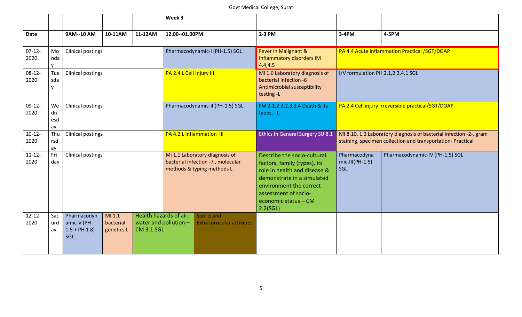|                     |                       |                                                     |                                   |                   | Week 3                                                                                               |                                                                                                                                                                                                                  |                                          |                                                                                                                                  |  |  |
|---------------------|-----------------------|-----------------------------------------------------|-----------------------------------|-------------------|------------------------------------------------------------------------------------------------------|------------------------------------------------------------------------------------------------------------------------------------------------------------------------------------------------------------------|------------------------------------------|----------------------------------------------------------------------------------------------------------------------------------|--|--|
| <b>Date</b>         |                       | 9AM--10 AM                                          | 10-11AM                           | 11-12AM           | 12.00--01.00PM                                                                                       | 2-3 PM                                                                                                                                                                                                           | 3-4PM                                    | 4-5PM                                                                                                                            |  |  |
| $07-12-$<br>2020    | Mo<br>nda<br>v        | <b>Clinical postings</b>                            |                                   |                   | Pharmacodynamic-I (PH-1.5) SGL                                                                       | Fever in Malignant &<br>Inflammatory disorders IM<br>4.4, 4.5                                                                                                                                                    |                                          | PA 4.4 Acute inflammation Practical /SGT/DOAP                                                                                    |  |  |
| $08-12-$<br>2020    | Tue<br>sda<br>V       | Clinical postings                                   |                                   |                   | PA 2.4 L Cell Injury III                                                                             | Mi 1.6 Laboratory diagnosis of<br>bacterial infection -6<br>Antimicrobial susceptibility<br>testing -L                                                                                                           |                                          | I/V formulation PH 2.1,2.3,4.1 SGL                                                                                               |  |  |
| $09-12-$<br>2020    | We<br>dn<br>esd<br>ay | Clinical postings                                   |                                   |                   | Pharmacodynamic-II (PH-1.5) SGL                                                                      | FM 2.1,2.2,2.3,2.4 Death & its<br>types, L                                                                                                                                                                       |                                          | PA 2.4 Cell injury irreversible practical/SGT/DOAP                                                                               |  |  |
| $10-12-$<br>2020    | Thu<br>rsd<br>ay      | Clinical postings                                   |                                   |                   | <b>PA 4.2 L Inflammation III</b>                                                                     | Ethics In General Surgery SU 8.1                                                                                                                                                                                 |                                          | MI 8.10, 1.2 Laboratory diagnosis of bacterial infection -2-, gram<br>staining, specimen collection and transportation-Practical |  |  |
| $11 - 12 -$<br>2020 | Fri<br>day            | Clinical postings                                   |                                   |                   | Mi 1.1 Laboratory diagnosis of<br>bacterial infection -7, molecular<br>methods & typing methods L    | Describe the socio-cultural<br>factors, family (types), its<br>role in health and disease &<br>demonstrate in a simulated<br>environment the correct<br>assessment of socio-<br>economic status - CM<br>2.2(SGL) | Pharmacodyna<br>$mic-III(PH-1.5)$<br>SGL | Pharmacodynamic-IV (PH-1.5) SGL                                                                                                  |  |  |
| $12 - 12 -$<br>2020 | Sat<br>urd<br>ay      | Pharmacodyn<br>amic-V (PH-<br>$1.5 + PH 1.8$<br>SGL | MI 1.1<br>bacterial<br>genetics L | <b>CM 3.1 SGL</b> | Health hazards of air,<br>Sports and<br>water and pollution $-$<br><b>Extracurricular activities</b> |                                                                                                                                                                                                                  |                                          |                                                                                                                                  |  |  |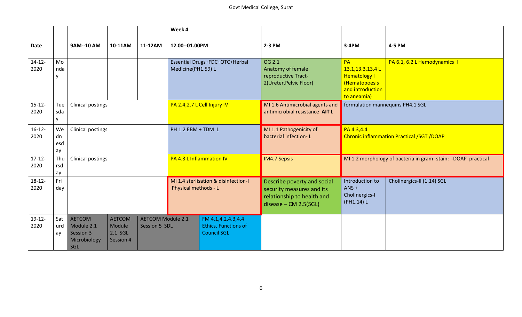|                     |                       |                                                                                                                                                                 |         |         | Week 4                                                           |                                |                                                                                                                   |                                                                                                          |                                                               |
|---------------------|-----------------------|-----------------------------------------------------------------------------------------------------------------------------------------------------------------|---------|---------|------------------------------------------------------------------|--------------------------------|-------------------------------------------------------------------------------------------------------------------|----------------------------------------------------------------------------------------------------------|---------------------------------------------------------------|
| Date                |                       | 9AM--10 AM                                                                                                                                                      | 10-11AM | 11-12AM | 12.00--01.00PM                                                   |                                | 2-3 PM                                                                                                            | 3-4PM                                                                                                    | 4-5 PM                                                        |
| $14 - 12 -$<br>2020 | Mo<br>nda             |                                                                                                                                                                 |         |         | Medicine(PH1.59) L                                               | Essential Drugs+FDC+OTC+Herbal | OG 2.1<br>Anatomy of female<br>reproductive Tract-<br>2(Ureter, Pelvic Floor)                                     | <b>PA</b><br>13.1, 13.3, 13.4<br><b>Hematology I</b><br>(Hematopoesis<br>and introduction<br>to aneamia) | PA 6.1, 6.2 L Hemodynamics I                                  |
| $15 - 12 -$<br>2020 | Tue<br>sda<br>۷       | Clinical postings                                                                                                                                               |         |         | PA 2.4,2.7 L Cell Injury IV                                      |                                | MI 1.6 Antimicrobial agents and<br>antimicrobial resistance AIT L                                                 | formulation mannequins PH4.1 SGL                                                                         |                                                               |
| $16 - 12 -$<br>2020 | We<br>dn<br>esd<br>ay | <b>Clinical postings</b>                                                                                                                                        |         |         | PH 1.2 EBM + TDM L                                               |                                | MI 1.1 Pathogenicity of<br>bacterial infection-L                                                                  | PA 4.3,4.4                                                                                               | Chronic inflammation Practical /SGT /DOAP                     |
| $17-12-$<br>2020    | Thu<br>rsd<br>ay      | <b>Clinical postings</b>                                                                                                                                        |         |         | PA 4.3 L Inflammation IV                                         |                                | <b>IM4.7 Sepsis</b>                                                                                               |                                                                                                          | MI 1.2 morphology of bacteria in gram -stain: -DOAP practical |
| $18-12-$<br>2020    | Fri<br>day            |                                                                                                                                                                 |         |         | Mi 1.4 sterlisation & disinfection-I<br>Physical methods - L     |                                | Describe poverty and social<br>security measures and its<br>relationship to health and<br>$disease - CM 2.5(SGL)$ | Introduction to<br>$ANS +$<br>Cholinergics-I<br>(PH1.14) L                                               | Cholinergics-II (1.14) SGL                                    |
| $19-12-$<br>2020    | Sat<br>urd<br>ay      | <b>AETCOM Module 2.1</b><br><b>AETCOM</b><br><b>AETCOM</b><br>Module 2.1<br>Module<br>Session 5 SDL<br>2.1 SGL<br>Session 3<br>Microbiology<br>Session 4<br>SGL |         |         | FM 4.1,4.2,4.3,4.4<br>Ethics, Functions of<br><b>Council SGL</b> |                                |                                                                                                                   |                                                                                                          |                                                               |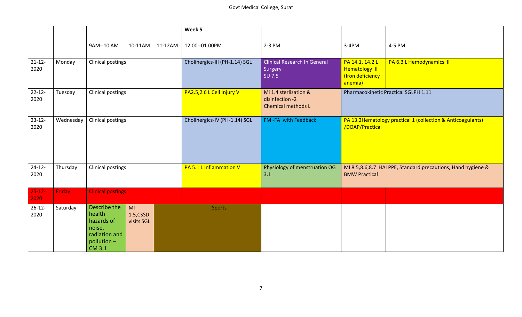|                     |           |                                                                                                |                                  |         | Week 5                         |                                                                |                                                                        |                                                              |
|---------------------|-----------|------------------------------------------------------------------------------------------------|----------------------------------|---------|--------------------------------|----------------------------------------------------------------|------------------------------------------------------------------------|--------------------------------------------------------------|
|                     |           | 9AM--10 AM                                                                                     | 10-11AM                          | 11-12AM | 12.00--01.00PM                 | 2-3 PM                                                         | $3-4PM$                                                                | 4-5 PM                                                       |
| $21 - 12 -$<br>2020 | Monday    | <b>Clinical postings</b>                                                                       |                                  |         | Cholinergics-III (PH-1.14) SGL | <b>Clinical Research In General</b><br>Surgery<br>SU 7.5       | PA 14.1, 14.2 L<br><b>Hematology II</b><br>(Iron deficiency<br>anemia) | PA 6.3 L Hemodynamics II                                     |
| $22 - 12 -$<br>2020 | Tuesday   | <b>Clinical postings</b>                                                                       |                                  |         | PA2.5,2.6 L Cell Injury V      | Mi 1.4 sterlisation &<br>disinfection -2<br>Chemical methods L |                                                                        | Pharmacokinetic Practical SGLPH 1.11                         |
| $23 - 12 -$<br>2020 | Wednesday | Clinical postings                                                                              |                                  |         | Cholinergics-IV (PH-1.14) SGL  | FM-FA with Feedback                                            | /DOAP/Practical                                                        | PA 13.2Hematology practical 1 (collection & Anticoagulants)  |
| $24 - 12 -$<br>2020 | Thursday  | <b>Clinical postings</b>                                                                       |                                  |         | PA 5.1 L Inflammation V        | Physiology of menstruation OG<br>3.1                           | <b>BMW Practical</b>                                                   | MI 8.5,8.6,8.7 HAI PPE, Standard precautions, Hand hygiene & |
| $25 - 12$<br>2020   | Friday    | <b>Clinical postings</b>                                                                       |                                  |         |                                |                                                                |                                                                        |                                                              |
| $26 - 12 -$<br>2020 | Saturday  | Describe the<br>health<br>hazards of<br>noise,<br>radiation and<br>pollution-<br><b>CM 3.1</b> | MI<br>$1.5$ , CSSD<br>visits SGL |         | <b>Sports</b>                  |                                                                |                                                                        |                                                              |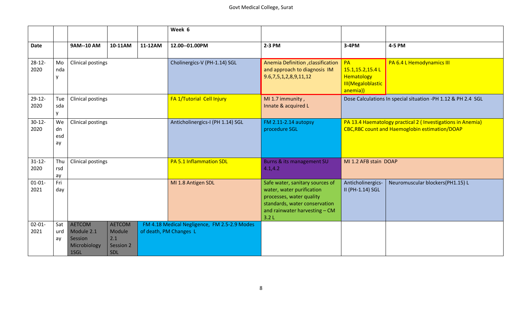|                     |                       |                                                                                                                      |         |         | Week 6                                                                 |                                                                                                                                                                    |                                                                                                                     |                                  |  |
|---------------------|-----------------------|----------------------------------------------------------------------------------------------------------------------|---------|---------|------------------------------------------------------------------------|--------------------------------------------------------------------------------------------------------------------------------------------------------------------|---------------------------------------------------------------------------------------------------------------------|----------------------------------|--|
| <b>Date</b>         |                       | 9AM--10 AM                                                                                                           | 10-11AM | 11-12AM | 12.00--01.00PM                                                         | 2-3 PM                                                                                                                                                             | 3-4PM                                                                                                               | 4-5 PM                           |  |
| $28-12-$<br>2020    | Mo<br>nda<br>v        | Clinical postings                                                                                                    |         |         | Cholinergics-V (PH-1.14) SGL                                           | Anemia Definition, classification<br>and approach to diagnosis IM<br>9.6, 7, 5, 1, 2, 8, 9, 11, 12                                                                 | <b>PA</b><br>15.1, 15.2, 15.4<br>Hematology<br><b>III</b> (Megaloblastic<br>anemia))                                | PA 6.4 L Hemodynamics III        |  |
| $29-12-$<br>2020    | Tue<br>sda<br>y       | <b>Clinical postings</b>                                                                                             |         |         | FA 1/Tutorial Cell Injury                                              | MI 1.7 immunity,<br>Innate & acquired L                                                                                                                            | Dose Calculations In special situation -PH 1.12 & PH 2.4 SGL                                                        |                                  |  |
| $30 - 12 -$<br>2020 | We<br>dn<br>esd<br>ay | Clinical postings                                                                                                    |         |         | Anticholinergics-I (PH 1.14) SGL                                       | FM 2.11-2.14 autopsy<br>procedure SGL                                                                                                                              | PA 13.4 Haematology practical 2 (Investigations in Anemia)<br><b>CBC, RBC count and Haemoglobin estimation/DOAP</b> |                                  |  |
| $31 - 12 -$<br>2020 | Thu<br>rsd<br>ay      | Clinical postings                                                                                                    |         |         | PA 5.1 Inflammation SDL                                                | Burns & its management SU<br>4.1, 4.2                                                                                                                              | MI 1.2 AFB stain DOAP                                                                                               |                                  |  |
| $01 - 01 -$<br>2021 | Fri<br>day            |                                                                                                                      |         |         | MI 1.8 Antigen SDL                                                     | Safe water, sanitary sources of<br>water, water purification<br>processes, water quality<br>standards, water conservation<br>and rainwater harvesting - CM<br>3.2L | Anticholinergics-<br>II (PH-1.14) SGL                                                                               | Neuromuscular blockers(PH1.15) L |  |
| $02 - 01 -$<br>2021 | Sat<br>urd<br>ay      | <b>AETCOM</b><br><b>AETCOM</b><br>Module 2.1<br>Module<br>Session<br>2.1<br>Microbiology<br>Session 2<br>SDL<br>1SGL |         |         | FM 4.18 Medical Negligence, FM 2.5-2.9 Modes<br>of death, PM Changes L |                                                                                                                                                                    |                                                                                                                     |                                  |  |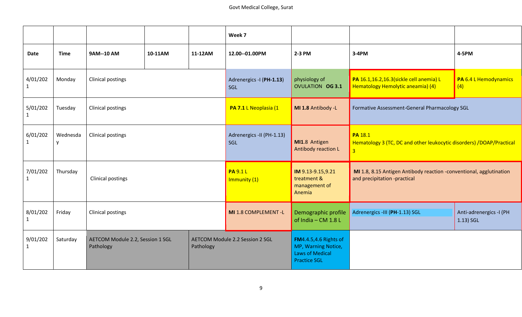|                          |               |                                                            |         |         | Week 7                           |                                                                                                       |                                                                                                              |                                      |  |
|--------------------------|---------------|------------------------------------------------------------|---------|---------|----------------------------------|-------------------------------------------------------------------------------------------------------|--------------------------------------------------------------------------------------------------------------|--------------------------------------|--|
| <b>Date</b>              | <b>Time</b>   | 9AM--10 AM                                                 | 10-11AM | 11-12AM | 12.00--01.00PM                   | 2-3 PM                                                                                                | 3-4PM                                                                                                        | 4-5PM                                |  |
| 4/01/202<br>$\mathbf{1}$ | Monday        | <b>Clinical postings</b>                                   |         |         | Adrenergics -I (PH-1.13)<br>SGL  | physiology of<br>OVULATION OG 3.1                                                                     | PA 16.1,16.2,16.3(sickle cell anemia) L<br>PA 6.4 L Hemodynamics<br>Hematology Hemolytic aneamia) (4)<br>(4) |                                      |  |
| 5/01/202                 | Tuesday       | <b>Clinical postings</b>                                   |         |         | PA 7.1 L Neoplasia (1            | MI 1.8 Antibody -L                                                                                    | Formative Assessment-General Pharmacology SGL                                                                |                                      |  |
| 6/01/202<br>$\mathbf{1}$ | Wednesda<br>٧ | <b>Clinical postings</b>                                   |         |         | Adrenergics -II (PH-1.13)<br>SGL | MI1.8 Antigen<br>Antibody reaction L                                                                  | <b>PA 18.1</b><br>Hematology 3 (TC, DC and other leukocytic disorders) / DOAP/Practical<br>$\overline{3}$    |                                      |  |
| 7/01/202<br>$\mathbf{1}$ | Thursday      | <b>Clinical postings</b>                                   |         |         | <b>PA 9.1 L</b><br>Immunity (1)  | IM 9.13-9.15,9.21<br>treatment &<br>management of<br>Anemia                                           | MI 1.8, 8.15 Antigen Antibody reaction -conventional, agglutination<br>and precipitation -practical          |                                      |  |
| 8/01/202                 | Friday        | <b>Clinical postings</b>                                   |         |         | MI 1.8 COMPLEMENT-L              | Demographic profile<br>of India - CM 1.8 L                                                            | Adrenergics -III (PH-1.13) SGL                                                                               | Anti-adrenergics -I (PH<br>1.13) SGL |  |
| 9/01/202<br>1            | Saturday      | AETCOM Module 2.2, Session 1 SGL<br>Pathology<br>Pathology |         |         | AETCOM Module 2.2 Session 2 SGL  | <b>FM</b> 4.4.5,4.6 Rights of<br>MP, Warning Notice,<br><b>Laws of Medical</b><br><b>Practice SGL</b> |                                                                                                              |                                      |  |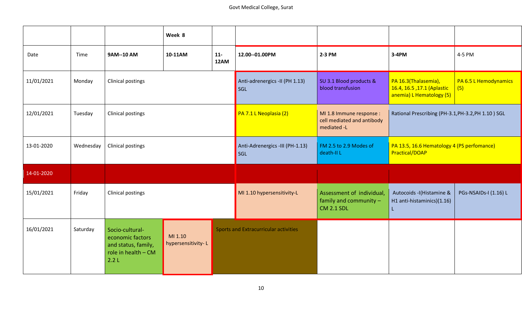|            |           |                                                                                           | Week 8                        |               |                                              |                                                                            |                                                                                |                              |
|------------|-----------|-------------------------------------------------------------------------------------------|-------------------------------|---------------|----------------------------------------------|----------------------------------------------------------------------------|--------------------------------------------------------------------------------|------------------------------|
| Date       | Time      | 9AM--10 AM                                                                                | 10-11AM                       | $11-$<br>12AM | 12.00--01.00PM                               | 2-3 PM                                                                     | 3-4PM                                                                          | 4-5 PM                       |
| 11/01/2021 | Monday    | <b>Clinical postings</b>                                                                  |                               |               | Anti-adrenergics -II (PH 1.13)<br>SGL        | SU 3.1 Blood products &<br>blood transfusion                               | PA 16.3(Thalasemia),<br>16.4, 16.5, 17.1 (Aplastic<br>anemia) L Hematology (5) | PA 6.5 L Hemodynamics<br>(5) |
| 12/01/2021 | Tuesday   | <b>Clinical postings</b>                                                                  |                               |               | PA 7.1 L Neoplasia (2)                       | MI 1.8 Immune response :<br>cell mediated and antibody<br>mediated -L      | Rational Prescribing (PH-3.1, PH-3.2, PH 1.10) SGL                             |                              |
| 13-01-2020 | Wednesday | <b>Clinical postings</b>                                                                  |                               |               | Anti-Adrenergics -III (PH-1.13)<br>SGL       | FM 2.5 to 2.9 Modes of<br>death-IIL                                        | PA 13.5, 16.6 Hematology 4 (PS perfomance)<br>Practical/DOAP                   |                              |
| 14-01-2020 |           |                                                                                           |                               |               |                                              |                                                                            |                                                                                |                              |
| 15/01/2021 | Friday    | <b>Clinical postings</b>                                                                  |                               |               | MI 1.10 hypersensitivity-L                   | Assessment of individual,<br>family and community $-$<br><b>CM 2.1 SDL</b> | Autocoids -I(Histamine &<br>H1 anti-histaminics)(1.16)<br>L                    | PGs-NSAIDs-I (1.16) L        |
| 16/01/2021 | Saturday  | Socio-cultural-<br>economic factors<br>and status, family,<br>role in health - CM<br>2.2L | MI 1.10<br>hypersensitivity-L |               | <b>Sports and Extracurricular activities</b> |                                                                            |                                                                                |                              |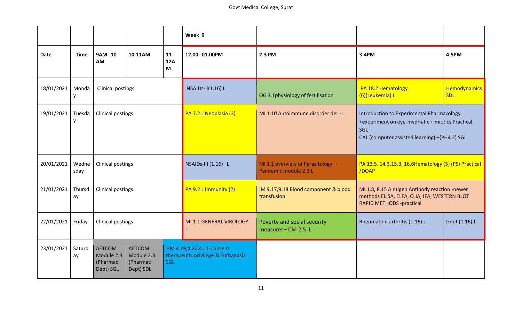|             |               |                                                      |                                                      |                          | Week 9                                                          |                                                            |                                                                                                                                                        |                            |  |
|-------------|---------------|------------------------------------------------------|------------------------------------------------------|--------------------------|-----------------------------------------------------------------|------------------------------------------------------------|--------------------------------------------------------------------------------------------------------------------------------------------------------|----------------------------|--|
| <b>Date</b> | <b>Time</b>   | 9AM--10<br>AM                                        | 10-11AM                                              | $11-$<br><b>12A</b><br>M | 12.00--01.00PM                                                  | 2-3 PM                                                     | 3-4PM                                                                                                                                                  | 4-5PM                      |  |
| 18/01/2021  | Monda<br>۷    | <b>Clinical postings</b>                             |                                                      |                          | NSAIDs-II(1.16) L                                               | OG 3.1physiology of fertilisation                          | PA 18.2 Hematology<br>(6)(Leukemia) L                                                                                                                  | Hemodynamics<br><b>SDL</b> |  |
| 19/01/2021  | Tuesda<br>у   | <b>Clinical postings</b>                             |                                                      |                          | PA 7.2 L Neoplasia (3)                                          | MI 1.10 Autoimmune disorder der -L                         | Introduction to Experimental Pharmacology<br>+experiment on eye-mydriatic + miotics Practical<br>SGL<br>CAL (computer assisted learning) - (PH4.2) SGL |                            |  |
| 20/01/2021  | Wedne<br>sday | <b>Clinical postings</b>                             |                                                      |                          | NSAIDs-III (1.16) L                                             | MI 1.1 overview of Parasitology +<br>Pandemic module 2.3 L | PA 13.5, 14.3, 15.3, 16.6 Hematology (5) (PS) Practical<br>/DOAP                                                                                       |                            |  |
| 21/01/2021  | Thursd<br>ay  | <b>Clinical postings</b>                             |                                                      |                          | PA 9.2 L Immunity (2)                                           | IM 9.17,9.18 Blood component & blood<br>transfusion        | MI 1.8, 8.15 A ntigen Antibody reaction -newer<br>methods ELISA, ELFA, CLIA, IFA, WESTERN BLOT<br><b>RAPID METHODS -practical</b>                      |                            |  |
| 22/01/2021  | Friday        | <b>Clinical postings</b>                             |                                                      |                          | MI 1.1 GENERAL VIROLOGY -                                       | Poverty and social security<br>measures-CM 2.5 L           | Rheumatoid arthritis (1.16) L                                                                                                                          | Gout (1.16) L              |  |
| 23/01/2021  | Saturd<br>ay  | <b>AETCOM</b><br>Module 2.3<br>(Pharmac<br>Dept) SGL | <b>AETCOM</b><br>Module 2.3<br>(Pharmac<br>Dept) SDL | SGL                      | FM 4.19,4.20,4.11 Consent<br>therapeutic privilege & Euthanasia |                                                            |                                                                                                                                                        |                            |  |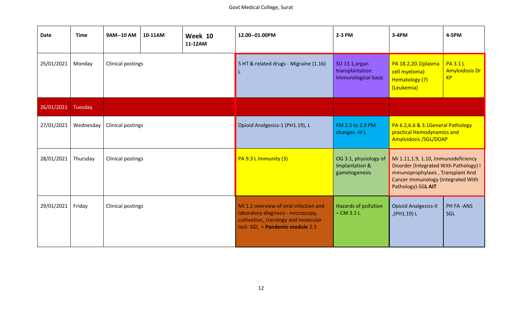| <b>Date</b>        | <b>Time</b> | 9AM--10 AM               | 10-11AM | Week 10<br>11-12AM | 12.00--01.00PM                                                                                                                                         | 2-3 PM                                                   | 3-4PM                                                                                                                                                                                | 4-5PM                                        |
|--------------------|-------------|--------------------------|---------|--------------------|--------------------------------------------------------------------------------------------------------------------------------------------------------|----------------------------------------------------------|--------------------------------------------------------------------------------------------------------------------------------------------------------------------------------------|----------------------------------------------|
| 25/01/2021         | Monday      | <b>Clinical postings</b> |         |                    | 5 HT & related drugs - Migraine (1.16)                                                                                                                 | SU 13.1, organ<br>transplantation<br>Immunological basis | PA 18.2,20.1(plasma<br>cell myeloma)<br>Hematology (7)<br>(Leukemia)                                                                                                                 | <b>PA3.1L</b><br><b>Amyloidosis Dr</b><br>KP |
| 26/01/2021 Tuesday |             |                          |         |                    |                                                                                                                                                        |                                                          |                                                                                                                                                                                      |                                              |
| 27/01/2021         | Wednesday   | Clinical postings        |         |                    | Opioid Analgesics-1 (PH1.19), L                                                                                                                        | FM 2.5 to 2.9 PM<br>changes -III L                       | PA 6.2,6.6 & 3.1General Pathology<br>practical Hemodynamics and<br><b>Amyloidosis /SGL/DOAP</b>                                                                                      |                                              |
| 28/01/2021         | Thursday    | Clinical postings        |         |                    | PA 9.3 L Immunity (3)                                                                                                                                  | OG 3.1, physiology of<br>Implantation &<br>gametogenesis | Mi 1.11,1.9, 1.10, Immunodeficiency<br>Disorder (Integrated With Pathology) I<br>mmunoprophylaxis, Transplant And<br><b>Cancer Immunology (Integrated With</b><br>Pathology)-SGL AIT |                                              |
| 29/01/2021         | Friday      | <b>Clinical postings</b> |         |                    | MI 1.1 overview of viral infection and<br>laboratory diagnosis - microscopy,<br>cultivation, /serology and molecular<br>test-SGL + Pandemic module 2.3 | Hazards of pollution<br>$-$ CM 3.1 L                     | <b>Opioid Analgesics-II</b><br>,(PH1.19) L                                                                                                                                           | PH FA-ANS<br>SGL                             |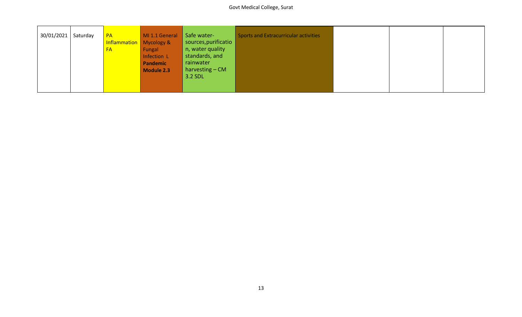| 30/01/2021<br>Saturday | MI 1.1 General<br><b>PA</b><br><b>Inflammation</b> Mycology &<br>Fungal<br><b>FA</b><br>Infection L<br>Pandemic<br><b>Module 2.3</b> | Safe water-<br>sources, purificatio<br>n, water quality<br>standards, and<br>rainwater<br>harvesting $-$ CM<br>3.2 SDL | Sports and Extracurricular activities |  |  |  |
|------------------------|--------------------------------------------------------------------------------------------------------------------------------------|------------------------------------------------------------------------------------------------------------------------|---------------------------------------|--|--|--|
|------------------------|--------------------------------------------------------------------------------------------------------------------------------------|------------------------------------------------------------------------------------------------------------------------|---------------------------------------|--|--|--|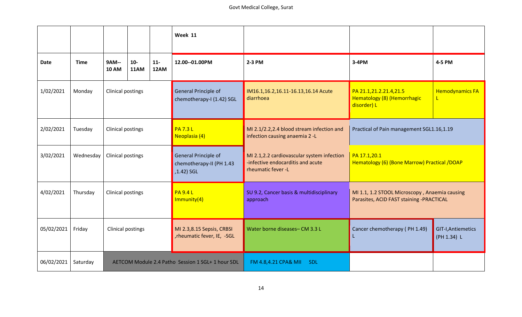|             |             |                          |                      |               | Week 11                                                        |                                                                                                       |                                                                                           |                                          |
|-------------|-------------|--------------------------|----------------------|---------------|----------------------------------------------------------------|-------------------------------------------------------------------------------------------------------|-------------------------------------------------------------------------------------------|------------------------------------------|
| <b>Date</b> | <b>Time</b> | 9AM--<br><b>10 AM</b>    | $10-$<br><b>11AM</b> | $11-$<br>12AM | 12.00--01.00PM                                                 | 2-3 PM                                                                                                | 3-4PM                                                                                     | 4-5 PM                                   |
| 1/02/2021   | Monday      | <b>Clinical postings</b> |                      |               | General Principle of<br>chemotherapy-I (1.42) SGL              | IM16.1,16.2,16.11-16.13,16.14 Acute<br>diarrhoea                                                      | PA 21.1,21.2.21.4,21.5<br>Hematology (8) (Hemorrhagic<br>disorder) L                      | <b>Hemodynamics FA</b>                   |
| 2/02/2021   | Tuesday     | <b>Clinical postings</b> |                      |               | <b>PA 7.3 L</b><br>Neoplasia (4)                               | MI 2.1/2.2,2.4 blood stream infection and<br>infection causing anaemia 2 -L                           | Practical of Pain management SGL1.16,1.19                                                 |                                          |
| 3/02/2021   | Wednesday   | <b>Clinical postings</b> |                      |               | General Principle of<br>chemotherapy-II (PH 1.43<br>,1.42) SGL | MI 2.1,2.2 cardiovascular system infection<br>-infective endocarditis and acute<br>rheumatic fever -L | PA 17.1,20.1<br>Hematology (6) (Bone Marrow) Practical /DOAP                              |                                          |
| 4/02/2021   | Thursday    | <b>Clinical postings</b> |                      |               | <b>PA 9.4 L</b><br>Immunity(4)                                 | SU 9.2, Cancer basis & multidisciplinary<br>approach                                                  | MI 1.1, 1.2 STOOL Microscopy, Anaemia causing<br>Parasites, ACID FAST staining -PRACTICAL |                                          |
| 05/02/2021  | Friday      | <b>Clinical postings</b> |                      |               | MI 2.3,8.15 Sepsis, CRBSI<br>rheumatic fever, IE, -SGL         | Water borne diseases-CM 3.3 L                                                                         | Cancer chemotherapy (PH 1.49)                                                             | <b>GIT-I, Antiemetics</b><br>(PH 1.34) L |
| 06/02/2021  | Saturday    |                          |                      |               | AETCOM Module 2.4 Patho Session 1 SGL+ 1 hour SDL              | FM 4.8,4.21 CPA& MII<br><b>SDL</b>                                                                    |                                                                                           |                                          |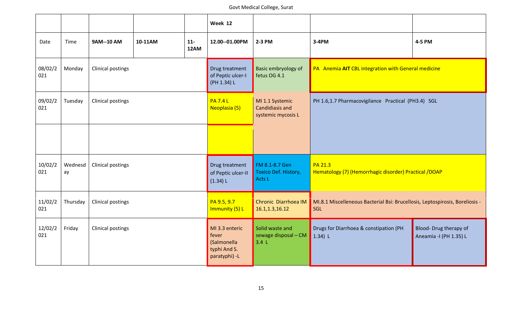## Govt Medical College, Surat

|                |               |                          |         |               | Week 12                                                                 |                                                          |                                                                                     |                                                   |  |
|----------------|---------------|--------------------------|---------|---------------|-------------------------------------------------------------------------|----------------------------------------------------------|-------------------------------------------------------------------------------------|---------------------------------------------------|--|
| Date           | Time          | 9AM--10 AM               | 10-11AM | $11-$<br>12AM | 12.00--01.00PM                                                          | 2-3 PM                                                   | 3-4PM                                                                               | 4-5 PM                                            |  |
| 08/02/2<br>021 | Monday        | <b>Clinical postings</b> |         |               | Drug treatment<br>of Peptic ulcer-I<br>(PH 1.34) L                      | Basic embryology of<br>fetus OG 4.1                      | PA Anemia AIT CBL integration with General medicine                                 |                                                   |  |
| 09/02/2<br>021 | Tuesday       | <b>Clinical postings</b> |         |               | <b>PA 7.4 L</b><br>Neoplasia (5)                                        | MI 1.1 Systemic<br>Candidiasis and<br>systemic mycosis L | PH 1.6,1.7 Pharmacovigilance Practical (PH3.4) SGL                                  |                                                   |  |
|                |               |                          |         |               |                                                                         |                                                          |                                                                                     |                                                   |  |
| 10/02/2<br>021 | Wednesd<br>ay | <b>Clinical postings</b> |         |               | Drug treatment<br>of Peptic ulcer-II<br>(1.34) L                        | FM 8.1-8.7 Gen<br>Toxico Def. History,<br>Acts L         | <b>PA 21.3</b><br>Hematology (7) (Hemorrhagic disorder) Practical /DOAP             |                                                   |  |
| 11/02/2<br>021 | Thursday      | <b>Clinical postings</b> |         |               | PA 9.5, 9.7<br>Immunity (5) L                                           | Chronic Diarrhoea IM<br>16.1, 1.3, 16.12                 | MI.8.1 Miscelleneous Bacterial Bsi: Brucellosis, Leptospirosis, Boreliosis -<br>SGL |                                                   |  |
| 12/02/2<br>021 | Friday        | <b>Clinical postings</b> |         |               | MI 3.3 enteric<br>fever<br>(Salmonella<br>typhi And S.<br>paratyphi) -L | Solid waste and<br>sewage disposal - CM<br>3.4 L         | Drugs for Diarrhoea & constipation (PH<br>1.34) L                                   | Blood- Drug therapy of<br>Aneamia - I (PH 1.35) L |  |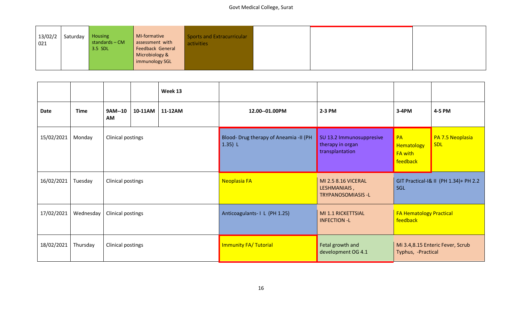|             |             |                          |                   | Week 13 |                                                           |                                                                         |                                                       |                                       |
|-------------|-------------|--------------------------|-------------------|---------|-----------------------------------------------------------|-------------------------------------------------------------------------|-------------------------------------------------------|---------------------------------------|
| <b>Date</b> | <b>Time</b> | 9AM--10<br><b>AM</b>     | 10-11AM           | 11-12AM | 12.00--01.00PM                                            | 2-3 PM                                                                  | $3-4PM$                                               | 4-5 PM                                |
| 15/02/2021  | Monday      | <b>Clinical postings</b> |                   |         | Blood- Drug therapy of Aneamia -II (PH<br>$\vert$ 1.35) L | SU 13.2 Immunosuppresive<br>therapy in organ<br>transplantation         | PA<br><b>Hematology</b><br><b>FA with</b><br>feedback | PA 7.5 Neoplasia<br><b>SDL</b>        |
| 16/02/2021  | Tuesday     | <b>Clinical postings</b> |                   |         | <b>Neoplasia FA</b>                                       | <b>MI 2.5 8.16 VICERAL</b><br>LESHMANIAIS,<br><b>TRYPANOSOMIASIS -L</b> | SGL                                                   | GIT Practical-I& II (PH 1.34)+ PH 2.2 |
| 17/02/2021  | Wednesday   |                          | Clinical postings |         | Anticoagulants- I L (PH 1.25)                             | MI 1.1 RICKETTSIAL<br><b>INFECTION -L</b>                               | <b>FA Hematology Practical</b><br>feedback            |                                       |
| 18/02/2021  | Thursday    | Clinical postings        |                   |         | <b>Immunity FA/Tutorial</b>                               | Fetal growth and<br>development OG 4.1                                  | Typhus, -Practical                                    | Mi 3.4,8.15 Enteric Fever, Scrub      |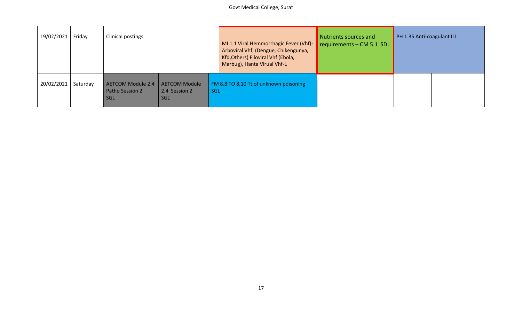| 19/02/2021 | Friday   | Clinical postings                                  |                                              | MI 1.1 Viral Hemmorrhagic Fever (Vhf)-<br>Arboviral Vhf, (Dengue, Chikengunya,<br>Kfd, Others) Filoviral Vhf (Ebola,<br>Marbug), Hanta Virual Vhf-L | Nutrients sources and<br>requirements $-$ CM 5.1 SDL | $\blacksquare$ PH 1.35 Anti-coagulant II L |  |  |
|------------|----------|----------------------------------------------------|----------------------------------------------|-----------------------------------------------------------------------------------------------------------------------------------------------------|------------------------------------------------------|--------------------------------------------|--|--|
| 20/02/2021 | Saturday | <b>AETCOM Module 2.4</b><br>Patho Session 2<br>SGL | <b>AETCOM Module</b><br>2.4 Session 2<br>SGL | <b>SGL</b>                                                                                                                                          | FM 8.8 TO 8.10 Tt of unknown poisoning               |                                            |  |  |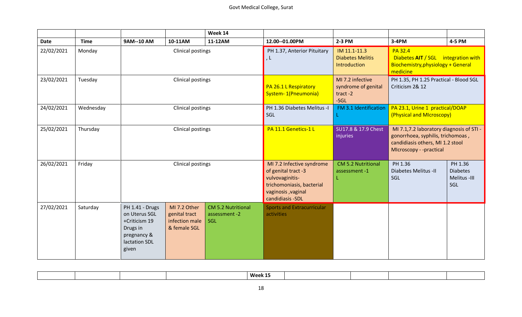|            |             |                                                                                                        |                                                                 | Week 14                                                 |                                                                                                                                             |                                                              |                                                                                                                                              |                                                   |
|------------|-------------|--------------------------------------------------------------------------------------------------------|-----------------------------------------------------------------|---------------------------------------------------------|---------------------------------------------------------------------------------------------------------------------------------------------|--------------------------------------------------------------|----------------------------------------------------------------------------------------------------------------------------------------------|---------------------------------------------------|
| Date       | <b>Time</b> | 9AM--10 AM                                                                                             | 10-11AM                                                         | 11-12AM                                                 | 12.00--01.00PM                                                                                                                              | 2-3 PM                                                       | 3-4PM                                                                                                                                        | 4-5 PM                                            |
| 22/02/2021 | Monday      |                                                                                                        | <b>Clinical postings</b>                                        |                                                         | PH 1.37, Anterior Pituitary<br><u>, L</u>                                                                                                   | IM 11.1-11.3<br><b>Diabetes Melitis</b><br>Introduction      | <b>PA 32.4</b><br>Diabetes AIT / SGL integration with<br>Biochemistry, physiology + General<br>medicine                                      |                                                   |
| 23/02/2021 | Tuesday     |                                                                                                        | <b>Clinical postings</b>                                        |                                                         | PA 26.1 L Respiratory<br>System-1(Pneumonia)                                                                                                | MI 7.2 infective<br>syndrome of genital<br>tract-2<br>$-SGL$ | PH 1.35, PH 1.25 Practical - Blood SGL<br>Criticism 2& 12                                                                                    |                                                   |
| 24/02/2021 | Wednesday   |                                                                                                        | <b>Clinical postings</b>                                        |                                                         | PH 1.36 Diabetes Melitus -I<br>SGL                                                                                                          | FM 3.1 Identification                                        | PA 23.1, Urine 1 practical/DOAP<br>(Physical and MIcroscopy)                                                                                 |                                                   |
| 25/02/2021 | Thursday    |                                                                                                        | <b>Clinical postings</b>                                        |                                                         | PA 11.1 Genetics-1 L                                                                                                                        | SU17.8 & 17.9 Chest<br>injuries                              | MI 7.1,7.2 laboratory diagnosis of STI -<br>gonorrhoea, syphilis, trichomoas,<br>candidiasis others, MI 1.2 stool<br>MIcroscopy - -practical |                                                   |
| 26/02/2021 | Friday      |                                                                                                        | <b>Clinical postings</b>                                        |                                                         | MI 7.2 Infective syndrome<br>of genital tract -3<br>vulvovaginitis-<br>trichomoniasis, bacterial<br>vaginosis , vaginal<br>candidiasis -SDL | <b>CM 5.2 Nutritional</b><br>assessment-1<br>L               | PH 1.36<br>Diabetes Melitus -II<br>SGL                                                                                                       | PH 1.36<br><b>Diabetes</b><br>Melitus -III<br>SGL |
| 27/02/2021 | Saturday    | PH 1.41 - Drugs<br>on Uterus SGL<br>+Criticism 19<br>Drugs in<br>pregnancy &<br>lactation SDL<br>given | MI 7.2 Other<br>genital tract<br>infection male<br>& female SGL | <b>CM 5.2 Nutritional</b><br>assessment-2<br><b>SGL</b> | <b>Sports and Extracurricular</b><br>activities                                                                                             |                                                              |                                                                                                                                              |                                                   |

|  |  | Week 15 |  |  |
|--|--|---------|--|--|
|  |  |         |  |  |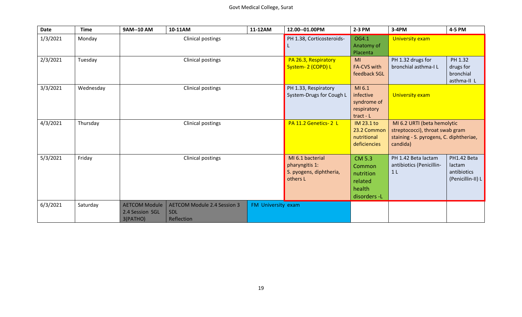| <b>Date</b> | <b>Time</b> | 9AM--10 AM                                          | 10-11AM                                                 | 11-12AM            | 12.00--01.00PM                                                            | 2-3 PM                                                                    | 3-4PM                                                                                                                 | 4-5 PM                                                    |
|-------------|-------------|-----------------------------------------------------|---------------------------------------------------------|--------------------|---------------------------------------------------------------------------|---------------------------------------------------------------------------|-----------------------------------------------------------------------------------------------------------------------|-----------------------------------------------------------|
| 1/3/2021    | Monday      |                                                     | <b>Clinical postings</b>                                |                    |                                                                           | OG4.1<br>Anatomy of<br>Placenta                                           | University exam                                                                                                       |                                                           |
| 2/3/2021    | Tuesday     |                                                     | <b>Clinical postings</b>                                |                    |                                                                           | MI<br>FA-CVS with<br>feedback SGL                                         | PH 1.32 drugs for<br>bronchial asthma-IL                                                                              | PH 1.32<br>drugs for<br>bronchial<br>asthma-II L          |
| 3/3/2021    | Wednesday   |                                                     | <b>Clinical postings</b>                                |                    |                                                                           | MI 6.1<br>infective<br>syndrome of<br>respiratory<br>tract - L            | University exam                                                                                                       |                                                           |
| 4/3/2021    | Thursday    |                                                     | <b>Clinical postings</b>                                |                    |                                                                           | IM 23.1 to<br>23.2 Common<br>nutritional<br>deficiencies                  | MI 6.2 URTI (beta hemolytic<br>streptococci), throat swab gram<br>staining - S. pyrogens, C. diphtheriae,<br>candida) |                                                           |
| 5/3/2021    | Friday      |                                                     | Clinical postings                                       |                    | MI 6.1 bacterial<br>pharyngitis 1:<br>S. pyogens, diphtheria,<br>others L | <b>CM 5.3</b><br>Common<br>nutrition<br>related<br>health<br>disorders -L | PH 1.42 Beta lactam<br>antibiotics (Penicillin-<br>1 <sub>L</sub>                                                     | PH1.42 Beta<br>lactam<br>antibiotics<br>(Penicillin-II) L |
| 6/3/2021    | Saturday    | <b>AETCOM Module</b><br>2.4 Session SGL<br>3(PATHO) | <b>AETCOM Module 2.4 Session 3</b><br>SDL<br>Reflection | FM University exam |                                                                           |                                                                           |                                                                                                                       |                                                           |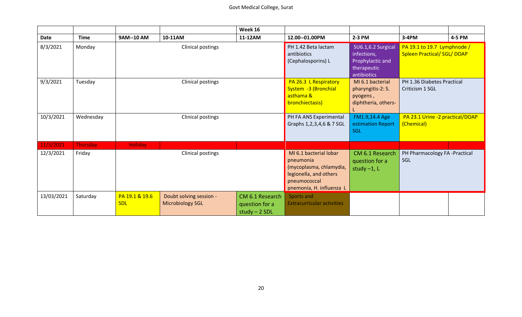|            |                 |                              |                                                    | Week 16                                             |                                                                                                                                      |                                                                                     |                                                                   |        |
|------------|-----------------|------------------------------|----------------------------------------------------|-----------------------------------------------------|--------------------------------------------------------------------------------------------------------------------------------------|-------------------------------------------------------------------------------------|-------------------------------------------------------------------|--------|
| Date       | <b>Time</b>     | 9AM--10 AM                   | 10-11AM                                            | 11-12AM                                             | 12.00--01.00PM                                                                                                                       | 2-3 PM                                                                              | 3-4PM                                                             | 4-5 PM |
| 8/3/2021   | Monday          | Clinical postings            |                                                    |                                                     | PH 1.42 Beta lactam<br>antibiotics<br>(Cephalosporins) L                                                                             | SU6.1,6.2 Surgical<br>infections,<br>Prophylactic and<br>therapeutic<br>antibiotics | PA 19.1 to 19.7 Lymphnode /<br><b>Spleen Practical/ SGL/ DOAP</b> |        |
| 9/3/2021   | Tuesday         |                              | Clinical postings                                  |                                                     | PA 26.3 L Respiratory<br>System -3 (Bronchial<br>asthama &<br>bronchiectasis)                                                        | MI 6.1 bacterial<br>pharyngitis-2: S.<br>pyogens,<br>diphtheria, others-            | PH 1.36 Diabetes Practical<br>Criticism 1 SGL                     |        |
| 10/3/2021  | Wednesday       |                              | Clinical postings                                  |                                                     | PH FA ANS Experimental<br>Graphs 1, 2, 3, 4, 6 & 7 SGL                                                                               | FM1.9,14.4 Age<br>estimation Report<br><b>SGL</b>                                   | PA 23.1 Urine -2 practical/DOAP<br>(Chemical)                     |        |
| 11/3/2021  | <b>Thursday</b> | <b>Holiday</b>               |                                                    |                                                     |                                                                                                                                      |                                                                                     |                                                                   |        |
| 12/3/2021  | Friday          | <b>Clinical postings</b>     |                                                    |                                                     | MI 6.1 bacterial lobar<br>pneumonia<br>(mycoplasma, chlamydia,<br>legionella, and others<br>pneumococcal<br>pnemonia, H. influenza L | CM 6.1 Research<br>question for a<br>study $-1$ , L                                 | PH Pharmacology FA -Practical<br>SGL                              |        |
| 13/03/2021 | Saturday        | PA 19.1 & 19.6<br><b>SDL</b> | Doubt solving session -<br><b>Microbiology SGL</b> | CM 6.1 Research<br>question for a<br>study $-2$ SDL | Sports and<br><b>Extracurricular activities</b>                                                                                      |                                                                                     |                                                                   |        |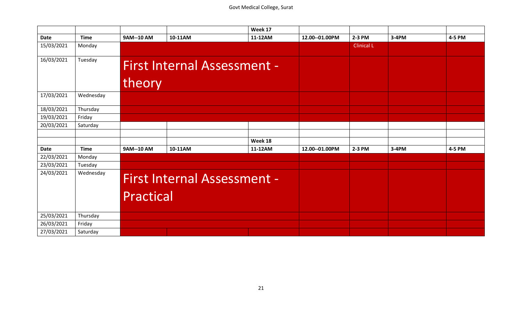|             |             |            |         | Week 17                            |                |                   |       |        |
|-------------|-------------|------------|---------|------------------------------------|----------------|-------------------|-------|--------|
| <b>Date</b> | <b>Time</b> | 9AM--10 AM | 10-11AM | 11-12AM                            | 12.00--01.00PM | 2-3 PM            | 3-4PM | 4-5 PM |
| 15/03/2021  | Monday      |            |         |                                    |                | <b>Clinical L</b> |       |        |
| 16/03/2021  | Tuesday     |            |         | First Internal Assessment -        |                |                   |       |        |
|             |             | theory     |         |                                    |                |                   |       |        |
| 17/03/2021  | Wednesday   |            |         |                                    |                |                   |       |        |
| 18/03/2021  | Thursday    |            |         |                                    |                |                   |       |        |
| 19/03/2021  | Friday      |            |         |                                    |                |                   |       |        |
| 20/03/2021  | Saturday    |            |         |                                    |                |                   |       |        |
|             |             |            |         |                                    |                |                   |       |        |
|             |             |            |         | Week 18                            |                |                   |       |        |
| <b>Date</b> | <b>Time</b> | 9AM--10 AM | 10-11AM | 11-12AM                            | 12.00--01.00PM | 2-3 PM            | 3-4PM | 4-5 PM |
| 22/03/2021  | Monday      |            |         |                                    |                |                   |       |        |
| 23/03/2021  | Tuesday     |            |         |                                    |                |                   |       |        |
| 24/03/2021  | Wednesday   | Practical  |         | <b>First Internal Assessment -</b> |                |                   |       |        |
| 25/03/2021  | Thursday    |            |         |                                    |                |                   |       |        |
| 26/03/2021  | Friday      |            |         |                                    |                |                   |       |        |
| 27/03/2021  | Saturday    |            |         |                                    |                |                   |       |        |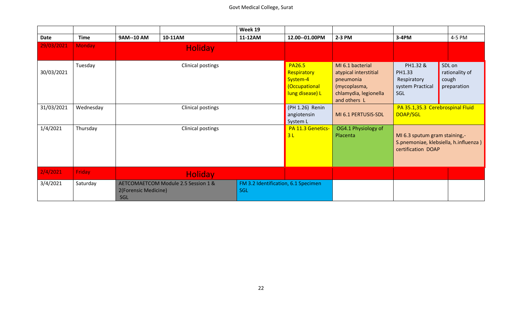|            |               |                             |                                                | Week 19                                    |                                                                              |                                                                                                                 |                                                              |                                                  |
|------------|---------------|-----------------------------|------------------------------------------------|--------------------------------------------|------------------------------------------------------------------------------|-----------------------------------------------------------------------------------------------------------------|--------------------------------------------------------------|--------------------------------------------------|
| Date       | <b>Time</b>   | 9AM--10 AM                  | 10-11AM                                        | 11-12AM                                    | 12.00--01.00PM                                                               | 2-3 PM                                                                                                          | 3-4PM                                                        | 4-5 PM                                           |
| 29/03/2021 | <b>Monday</b> |                             | <b>Holiday</b>                                 |                                            |                                                                              |                                                                                                                 |                                                              |                                                  |
| 30/03/2021 | Tuesday       |                             | Clinical postings                              |                                            | <b>PA26.5</b><br>Respiratory<br>System-4<br>(Occupational<br>lung disease) L | MI 6.1 bacterial<br>atypical interstitial<br>pneumonia<br>(mycoplasma,<br>chlamydia, legionella<br>and others L | PH1.32 &<br>PH1.33<br>Respiratory<br>system Practical<br>SGL | SDL on<br>rationality of<br>cough<br>preparation |
| 31/03/2021 | Wednesday     |                             | Clinical postings                              |                                            | (PH 1.26) Renin<br>angiotensin<br>System L                                   | MI 6.1 PERTUSIS-SDL                                                                                             | PA 35.1,35.3 Cerebrospinal Fluid<br>DOAP/SGL                 |                                                  |
| 1/4/2021   | Thursday      |                             | Clinical postings                              |                                            | PA 11.3 Genetics-<br>3L                                                      | OG4.1 Physiology of<br>Placenta                                                                                 | MI 6.3 sputum gram staining,-<br>certification DOAP          | S.pnemoniae, klebsiella, h.influenza)            |
| 2/4/2021   | <b>Friday</b> |                             | <b>Holiday</b>                                 |                                            |                                                                              |                                                                                                                 |                                                              |                                                  |
| 3/4/2021   | Saturday      | 2(Forensic Medicine)<br>SGL | <b>AETCOMAETCOM Module 2.5 Session 1 &amp;</b> | FM 3.2 Identification, 6.1 Specimen<br>SGL |                                                                              |                                                                                                                 |                                                              |                                                  |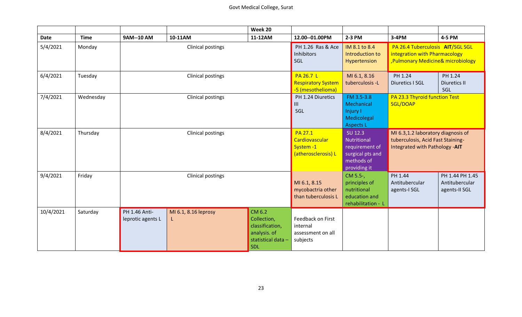|             |             |                                    |                                                                                         | Week 20                                                                               |                                                                |                                                                                                   |                                                                                                           |                                                    |
|-------------|-------------|------------------------------------|-----------------------------------------------------------------------------------------|---------------------------------------------------------------------------------------|----------------------------------------------------------------|---------------------------------------------------------------------------------------------------|-----------------------------------------------------------------------------------------------------------|----------------------------------------------------|
| <b>Date</b> | <b>Time</b> | 9AM--10 AM                         | 10-11AM                                                                                 | 11-12AM                                                                               | 12.00--01.00PM                                                 | 2-3 PM                                                                                            | 3-4PM                                                                                                     | 4-5 PM                                             |
| 5/4/2021    | Monday      |                                    | <b>Clinical postings</b>                                                                |                                                                                       | PH 1.26 Ras & Ace<br>Inhibitors<br>SGL                         | IM 8.1 to 8.4<br>Introduction to<br>Hypertension                                                  | PA 26.4 Tuberculosis AIT/SGL SGL<br>integration with Pharmacology<br>, Pulmonary Medicine& microbiology   |                                                    |
| 6/4/2021    | Tuesday     |                                    | <b>Clinical postings</b><br>PA 26.7 L<br><b>Respiratory System</b><br>-5 (mesothelioma) |                                                                                       |                                                                | MI 6.1, 8.16<br>tuberculosis -L                                                                   | PH 1.24<br>Diuretics I SGL                                                                                | PH 1.24<br>Diuretics II<br>SGL                     |
| 7/4/2021    | Wednesday   |                                    | <b>Clinical postings</b><br>PH 1.24 Diuretics<br>III<br>SGL                             |                                                                                       |                                                                | FM 3.5-3.8<br>Mechanical<br>Injury I<br>Medicolegal<br><b>Aspects L</b>                           | PA 23.3 Thyroid function Test<br>SGL/DOAP                                                                 |                                                    |
| 8/4/2021    | Thursday    |                                    | <b>Clinical postings</b>                                                                |                                                                                       |                                                                | SU 12.3<br><b>Nutritional</b><br>requirement of<br>surgical pts and<br>methods of<br>providing it | MI 6.3,1.2 laboratory diagnosis of<br>tuberculosis, Acid Fast Staining-<br>Integrated with Pathology -AIT |                                                    |
| 9/4/2021    | Friday      |                                    | <b>Clinical postings</b>                                                                |                                                                                       |                                                                | CM 5.5-,<br>principles of<br>nutritional<br>education and<br>rehabilitation - L                   | PH 1.44<br>Antitubercular<br>agents-I SGL                                                                 | PH 1.44 PH 1.45<br>Antitubercular<br>agents-II SGL |
| 10/4/2021   | Saturday    | PH 1.46 Anti-<br>leprotic agents L | MI 6.1, 8.16 leprosy                                                                    | CM 6.2<br>Collection,<br>classification,<br>analysis. of<br>statistical data -<br>SDL | Feedback on First<br>internal<br>assessment on all<br>subjects |                                                                                                   |                                                                                                           |                                                    |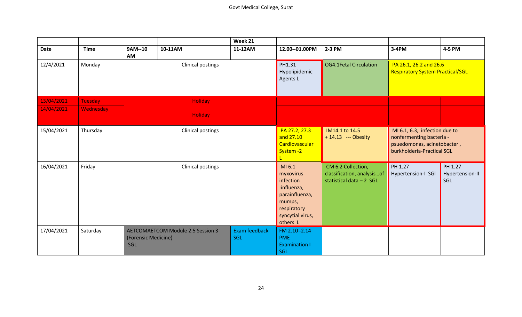|             |                  |                                                                                             |                                   | Week 21                                                                                                                    |                                                                               |                                        |                                                                                                                        |        |
|-------------|------------------|---------------------------------------------------------------------------------------------|-----------------------------------|----------------------------------------------------------------------------------------------------------------------------|-------------------------------------------------------------------------------|----------------------------------------|------------------------------------------------------------------------------------------------------------------------|--------|
| <b>Date</b> | <b>Time</b>      | 9AM--10<br><b>AM</b>                                                                        | 10-11AM                           | 11-12AM                                                                                                                    | 12.00--01.00PM                                                                | 2-3 PM                                 | 3-4PM                                                                                                                  | 4-5 PM |
| 12/4/2021   | Monday           | Clinical postings                                                                           |                                   |                                                                                                                            | PH1.31<br>Hypolipidemic<br>Agents L                                           | <b>OG4.1Fetal Circulation</b>          | PA 26.1, 26.2 and 26.6<br><b>Respiratory System Practical/SGL</b>                                                      |        |
| 13/04/2021  | <b>Tuesday</b>   |                                                                                             | <b>Holiday</b>                    |                                                                                                                            |                                                                               |                                        |                                                                                                                        |        |
| 14/04/2021  | <b>Wednesday</b> |                                                                                             | <b>Holiday</b>                    |                                                                                                                            |                                                                               |                                        |                                                                                                                        |        |
| 15/04/2021  | Thursday         | PA 27.2, 27.3<br><b>Clinical postings</b><br>and 27.10<br><b>Cardiovascular</b><br>System-2 |                                   |                                                                                                                            |                                                                               | IM14.1 to 14.5<br>$+14.13$ --- Obesity | MI 6.1, 6.3, infection due to<br>nonfermenting bacteria -<br>psuedomonas, acinetobacter,<br>burkholderia-Practical SGL |        |
| 16/04/2021  | Friday           | <b>Clinical postings</b>                                                                    |                                   | MI 6.1<br>myxovirus<br>infection<br>:influenza,<br>parainfluenza,<br>mumps,<br>respiratory<br>syncytial virus,<br>others L | CM 6.2 Collection,<br>classification, analysisof<br>statistical data $-2$ SGL | PH 1.27<br>Hypertension-I SGI          | PH 1.27<br>Hypertension-II<br>SGL                                                                                      |        |
| 17/04/2021  | Saturday         | (Forensic Medicine)<br>SGL                                                                  | AETCOMAETCOM Module 2.5 Session 3 | Exam feedback<br>SGL                                                                                                       | FM 2.10 - 2.14<br><b>PME</b><br><b>Examination I</b><br>SGL                   |                                        |                                                                                                                        |        |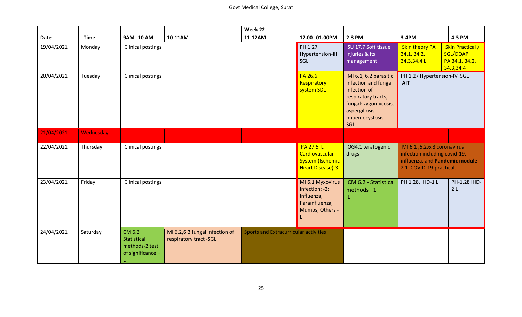|             |             |                                                              |                                                          | Week 22                                      |                                                                                       |                                                                                                                                                                  |                                                                                                                            |                                                                    |
|-------------|-------------|--------------------------------------------------------------|----------------------------------------------------------|----------------------------------------------|---------------------------------------------------------------------------------------|------------------------------------------------------------------------------------------------------------------------------------------------------------------|----------------------------------------------------------------------------------------------------------------------------|--------------------------------------------------------------------|
| <b>Date</b> | <b>Time</b> | 9AM--10 AM                                                   | 10-11AM                                                  | 11-12AM                                      | 12.00--01.00PM                                                                        | 2-3 PM                                                                                                                                                           | 3-4PM                                                                                                                      | 4-5 PM                                                             |
| 19/04/2021  | Monday      | Clinical postings                                            |                                                          |                                              | PH 1.27<br>Hypertension-III<br>SGL                                                    | SU 17.7 Soft tissue<br>injuries & its<br>management                                                                                                              | <b>Skin theory PA</b><br>34.1, 34.2,<br>34.3,34.4L                                                                         | <b>Skin Practical /</b><br>SGL/DOAP<br>PA 34.1, 34.2,<br>34.3,34.4 |
| 20/04/2021  | Tuesday     | Clinical postings                                            |                                                          |                                              | PA 26.6<br>Respiratory<br>system SDL                                                  | MI 6.1, 6.2 parasitic<br>infection and fungal<br>infection of<br>respiratory tracts,<br>fungal: zygomycosis,<br>aspergillosis,<br>pnuemocystosis -<br><b>SGL</b> | PH 1.27 Hypertension-IV SGL<br><b>AIT</b>                                                                                  |                                                                    |
| 21/04/2021  | Wednesday   |                                                              |                                                          |                                              |                                                                                       |                                                                                                                                                                  |                                                                                                                            |                                                                    |
| 22/04/2021  | Thursday    | <b>Clinical postings</b>                                     |                                                          |                                              | PA 27.5 L<br>Cardiovascular<br>System (Ischemic<br>Heart Disease)-3                   | OG4.1 teratogenic<br>drugs                                                                                                                                       | MI 6.1, 6.2, 6.3 coronavirus<br>infection including covid-19,<br>influenza, and Pandemic module<br>2.1 COVID-19-practical. |                                                                    |
| 23/04/2021  | Friday      | <b>Clinical postings</b>                                     |                                                          |                                              | MI 6.1 Myxovirus<br>Infection: -2:<br>Influenza,<br>Parainfluenza,<br>Mumps, Others - | CM 6.2 - Statistical<br>methods $-1$<br>L.                                                                                                                       | PH 1.28, IHD-1 L                                                                                                           | PH-1.28 IHD-<br>2L                                                 |
| 24/04/2021  | Saturday    | CM 6.3<br>Statistical<br>methods-2 test<br>of significance - | MI 6.2,6.3 fungal infection of<br>respiratory tract -SGL | <b>Sports and Extracurricular activities</b> |                                                                                       |                                                                                                                                                                  |                                                                                                                            |                                                                    |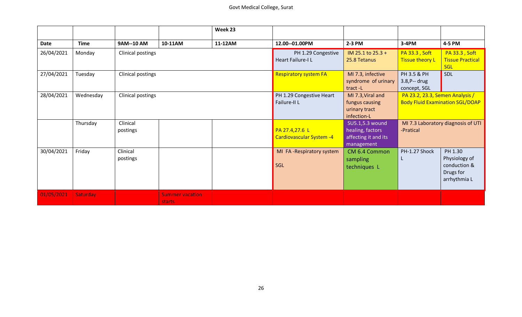|            |                 |                      |                                         | Week 23 |                                            |                                                                           |                                                |                                                                       |
|------------|-----------------|----------------------|-----------------------------------------|---------|--------------------------------------------|---------------------------------------------------------------------------|------------------------------------------------|-----------------------------------------------------------------------|
| Date       | <b>Time</b>     | 9AM--10 AM           | 10-11AM                                 | 11-12AM | 12.00--01.00PM                             | 2-3 PM                                                                    | $3-4PM$                                        | 4-5 PM                                                                |
| 26/04/2021 | Monday          | Clinical postings    |                                         |         | PH 1.29 Congestive<br>Heart Failure-IL     | IM 25.1 to $25.3 +$<br>25.8 Tetanus                                       | PA 33.3, Soft<br><b>Tissue theory L</b>        | PA 33.3, Soft<br><b>Tissue Practical</b><br>SGL                       |
| 27/04/2021 | Tuesday         | Clinical postings    |                                         |         | <b>Respiratory system FA</b>               | MI 7.3, infective<br>syndrome of urinary<br>tract-L                       | PH 3.5 & PH<br>$3.8, P -$ drug<br>concept, SGL | <b>SDL</b>                                                            |
| 28/04/2021 | Wednesday       | Clinical postings    |                                         |         | PH 1.29 Congestive Heart<br>Failure-II L   | MI 7.3, Viral and<br>fungus causing<br>urinary tract<br>infection-L       | PA 23.2, 23.3, Semen Analysis /                | <b>Body Fluid Examination SGL/DOAP</b>                                |
|            | Thursday        | Clinical<br>postings |                                         |         | PA 27.4,27.6 L<br>Cardiovascular System -4 | SU5.1,5.3 wound<br>healing, factors<br>affecting it and its<br>management | -Pratical                                      | MI 7.3 Laboratory diagnosis of UTI                                    |
| 30/04/2021 | Friday          | Clinical<br>postings |                                         |         | MI FA-Respiratory system<br>SGL            | CM 6.4 Common<br>sampling<br>techniques L                                 | PH-1.27 Shock<br>L                             | PH 1.30<br>Physiology of<br>conduction &<br>Drugs for<br>arrhythmia L |
| 01/05/2021 | <b>Saturday</b> |                      | <b>Summer vacation</b><br><b>starts</b> |         |                                            |                                                                           |                                                |                                                                       |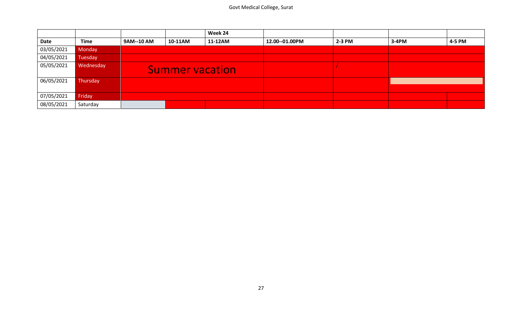|            |             |                        |         | Week 24 |                |        |       |        |
|------------|-------------|------------------------|---------|---------|----------------|--------|-------|--------|
| Date       | <b>Time</b> | 9AM--10 AM             | 10-11AM | 11-12AM | 12.00--01.00PM | 2-3 PM | 3-4PM | 4-5 PM |
| 03/05/2021 | Monday      |                        |         |         |                |        |       |        |
| 04/05/2021 | Tuesday     |                        |         |         |                |        |       |        |
| 05/05/2021 | Wednesday   | <b>Summer vacation</b> |         |         |                |        |       |        |
| 06/05/2021 | Thursday    |                        |         |         |                |        |       |        |
| 07/05/2021 | Friday      |                        |         |         |                |        |       |        |
| 08/05/2021 | Saturday    |                        |         |         |                |        |       |        |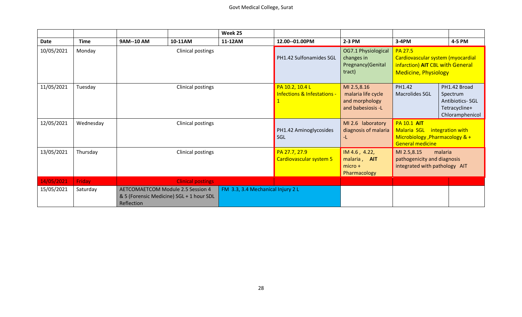|             |             |                                                        |                                          | Week 25                           |                                                           |                                                                          |                                                                                                                 |                                                                                        |
|-------------|-------------|--------------------------------------------------------|------------------------------------------|-----------------------------------|-----------------------------------------------------------|--------------------------------------------------------------------------|-----------------------------------------------------------------------------------------------------------------|----------------------------------------------------------------------------------------|
| <b>Date</b> | <b>Time</b> | 9AM--10 AM                                             | 10-11AM                                  | 11-12AM                           | 12.00--01.00PM                                            | 2-3 PM                                                                   | 3-4PM                                                                                                           | 4-5 PM                                                                                 |
| 10/05/2021  | Monday      |                                                        | Clinical postings                        |                                   | PH1.42 Sulfonamides SGL                                   | OG7.1 Physiological<br>changes in<br>Pregnancy(Genital<br>tract)         | PA 27.5<br>Cardiovascular system (myocardial<br>infarction) AIT CBL with General<br><b>Medicine, Physiology</b> |                                                                                        |
| 11/05/2021  | Tuesday     |                                                        | <b>Clinical postings</b>                 |                                   | PA 10.2, 10.4 L<br><b>Infections &amp; Infestations -</b> | MI 2.5,8.16<br>malaria life cycle<br>and morphology<br>and babesiosis -L | PH1.42<br><b>Macrolides SGL</b>                                                                                 | PH1.42 Broad<br>Spectrum<br><b>Antibiotics-SGL</b><br>Tetracycline+<br>Chloramphenicol |
| 12/05/2021  | Wednesday   |                                                        | <b>Clinical postings</b>                 |                                   | PH1.42 Aminoglycosides<br>SGL                             | MI 2.6 laboratory<br>diagnosis of malaria<br>-L                          | PA 10.1 AIT<br>Malaria SGL integration with<br>Microbiology, Pharmacology $\& +$<br><b>General medicine</b>     |                                                                                        |
| 13/05/2021  | Thursday    |                                                        | <b>Clinical postings</b>                 |                                   | PA 27.7, 27.9<br>Cardiovascular system 5                  | IM 4.6, 4.22,<br>malaria, AIT<br>$micro +$<br>Pharmacology               | MI 2.5,8.15<br>pathogenicity and diagnosis<br>integrated with pathology AIT                                     | malaria                                                                                |
| 14/05/2021  | Friday      |                                                        | <b>Clinical postings</b>                 |                                   |                                                           |                                                                          |                                                                                                                 |                                                                                        |
| 15/05/2021  | Saturday    | <b>AETCOMAETCOM Module 2.5 Session 4</b><br>Reflection | & 5 (Forensic Medicine) SGL + 1 hour SDL | FM 3.3, 3.4 Mechanical Injury 2 L |                                                           |                                                                          |                                                                                                                 |                                                                                        |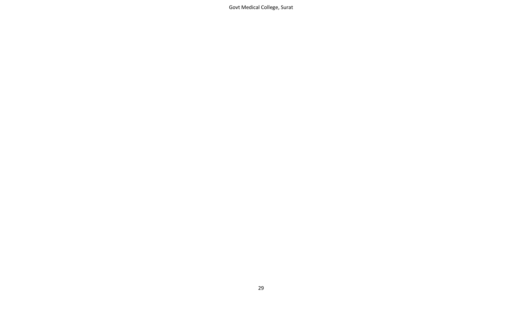Govt Medical College, Surat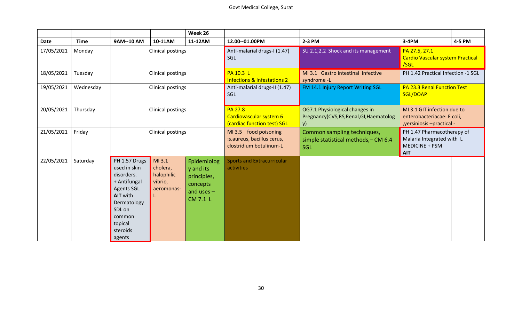|             |             |                                                                                                                                                                         |                                                           | Week 26                                                                         |                                                                                  |                                                                                          |                                                                              |        |
|-------------|-------------|-------------------------------------------------------------------------------------------------------------------------------------------------------------------------|-----------------------------------------------------------|---------------------------------------------------------------------------------|----------------------------------------------------------------------------------|------------------------------------------------------------------------------------------|------------------------------------------------------------------------------|--------|
| <b>Date</b> | <b>Time</b> | 9AM--10 AM                                                                                                                                                              | 10-11AM                                                   | 11-12AM                                                                         | 12.00--01.00PM                                                                   | 2-3 PM                                                                                   | 3-4PM                                                                        | 4-5 PM |
| 17/05/2021  | Monday      | <b>Clinical postings</b>                                                                                                                                                |                                                           |                                                                                 | Anti-malarial drugs-I (1.47)<br>SGL                                              | SU 2.1,2.2 Shock and its management                                                      | PA 27.5, 27.1<br><b>Cardio Vascular system Practical</b><br>/ <sub>SGL</sub> |        |
| 18/05/2021  | Tuesday     | <b>Clinical postings</b>                                                                                                                                                |                                                           |                                                                                 | PA 10.3 L<br><b>Infections &amp; Infestations 2</b>                              | MI 3.1 Gastro intestinal infective<br>syndrome -L                                        | PH 1.42 Practical Infection -1 SGL                                           |        |
| 19/05/2021  | Wednesday   | <b>Clinical postings</b>                                                                                                                                                |                                                           | Anti-malarial drugs-II (1.47)<br>SGL                                            | FM 14.1 Injury Report Writing SGL                                                | PA 23.3 Renal Function Test<br>SGL/DOAP                                                  |                                                                              |        |
| 20/05/2021  | Thursday    | <b>Clinical postings</b>                                                                                                                                                |                                                           | <b>PA 27.8</b><br>Cardiovascular system 6<br>(cardiac function test) SGL        | OG7.1 Physiological changes in<br>Pregnancy(CVS, RS, Renal, GI, Haematolog<br>y) | MI 3.1 GIT infection due to<br>enterobacteriacae: E coli,<br>, yersiniosis - practical - |                                                                              |        |
| 21/05/2021  | Friday      | <b>Clinical postings</b>                                                                                                                                                |                                                           | MI 3.5 food poisoning<br>:s.aureus, bacillus cerus,<br>clostridium botulinum-L  | Common sampling techniques,<br>simple statistical methods, - CM 6.4<br>SGL       | PH 1.47 Pharmacotherapy of<br>Malaria Integrated with L<br>MEDICINE + PSM<br><b>AIT</b>  |                                                                              |        |
| 22/05/2021  | Saturday    | PH 1.57 Drugs<br>used in skin<br>disorders.<br>+ Antifungal<br><b>Agents SGL</b><br><b>AIT</b> with<br>Dermatology<br>SDL on<br>common<br>topical<br>steroids<br>agents | MI 3.1<br>cholera,<br>halophilic<br>vibrio,<br>aeromonas- | Epidemiolog<br>y and its<br>principles,<br>concepts<br>and uses $-$<br>CM 7.1 L | <b>Sports and Extracurricular</b><br>activities                                  |                                                                                          |                                                                              |        |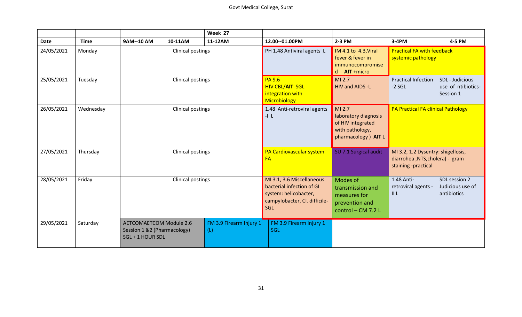|             |             |                                                                                   |                          | Week 27                        |                                                                                                                         |                                                                                                |                                                                                              |                                                    |  |
|-------------|-------------|-----------------------------------------------------------------------------------|--------------------------|--------------------------------|-------------------------------------------------------------------------------------------------------------------------|------------------------------------------------------------------------------------------------|----------------------------------------------------------------------------------------------|----------------------------------------------------|--|
| <b>Date</b> | <b>Time</b> | 9AM--10 AM                                                                        | 10-11AM                  | 11-12AM                        | 12.00--01.00PM                                                                                                          | 2-3 PM                                                                                         | 3-4PM                                                                                        | 4-5 PM                                             |  |
| 24/05/2021  | Monday      | <b>Clinical postings</b>                                                          |                          |                                | PH 1.48 Antiviral agents L                                                                                              | IM 4.1 to 4.3, Viral<br>fever & fever in<br>immunocompromise<br>d AIT +micro                   | <b>Practical FA with feedback</b><br>systemic pathology                                      |                                                    |  |
| 25/05/2021  | Tuesday     | <b>Clinical postings</b>                                                          |                          |                                | <b>PA 9.6</b><br><b>HIV CBL/AIT SGL</b><br>integration with<br>Microbiology                                             | MI 2.7<br>HIV and AIDS -L                                                                      | <b>Practical Infection</b><br>$-2$ SGL                                                       | SDL - Judicious<br>use of ntibiotics-<br>Session 1 |  |
| 26/05/2021  | Wednesday   | <b>Clinical postings</b>                                                          |                          |                                | 1.48 Anti-retroviral agents<br>$-1$ L                                                                                   | MI 2.7<br>laboratory diagnosis<br>of HIV integrated<br>with pathology,<br>pharmacology ) AIT L |                                                                                              | PA Practical FA clinical Pathology                 |  |
| 27/05/2021  | Thursday    |                                                                                   | <b>Clinical postings</b> |                                | PA Cardiovascular system<br><b>FA</b>                                                                                   | SU 7.1 Surgical audit                                                                          | MI 3.2, 1.2 Dysentry: shigellosis,<br>diarrohea, NTS, cholera) - gram<br>staining -practical |                                                    |  |
| 28/05/2021  | Friday      | <b>Clinical postings</b>                                                          |                          |                                | MI 3.1, 3.6 Miscellaneous<br>bacterial infection of GI<br>system: helicobacter,<br>campylobacter, Cl. difficile-<br>SGL | <b>Modes of</b><br>transmission and<br>measures for<br>prevention and<br>control - CM 7.2 L    | 1.48 Anti-<br>retroviral agents -<br>IL                                                      | SDL session 2<br>Judicious use of<br>antibiotics   |  |
| 29/05/2021  | Saturday    | <b>AETCOMAETCOM Module 2.6</b><br>Session 1 &2 (Pharmacology)<br>SGL + 1 HOUR SDL |                          | FM 3.9 Firearm Injury 1<br>(L) | FM 3.9 Firearm Injury 1<br><b>SGL</b>                                                                                   |                                                                                                |                                                                                              |                                                    |  |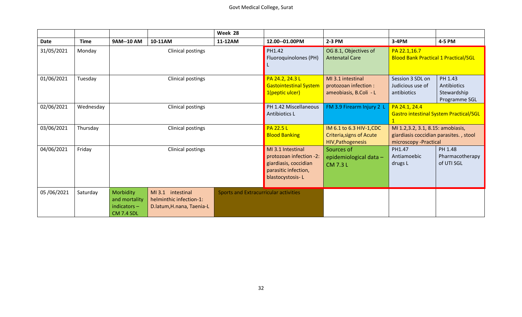|            |             |                                                                   |                                                                           | Week 28                                      |                                                                     |                                                                                  |                                                                                                       |                                                        |
|------------|-------------|-------------------------------------------------------------------|---------------------------------------------------------------------------|----------------------------------------------|---------------------------------------------------------------------|----------------------------------------------------------------------------------|-------------------------------------------------------------------------------------------------------|--------------------------------------------------------|
| Date       | <b>Time</b> | 9AM--10 AM                                                        | 10-11AM                                                                   | 11-12AM                                      | 12.00--01.00PM                                                      | 2-3 PM                                                                           | 3-4PM                                                                                                 | 4-5 PM                                                 |
| 31/05/2021 | Monday      |                                                                   | Clinical postings                                                         |                                              | PH1.42<br>Fluoroquinolones (PH)                                     | OG 8.1, Objectives of<br><b>Antenatal Care</b>                                   | PA 22.1,16.7<br><b>Blood Bank Practical 1 Practical/SGL</b>                                           |                                                        |
| 01/06/2021 | Tuesday     |                                                                   | Clinical postings                                                         |                                              | PA 24.2, 24.3 L<br><b>Gastointestinal System</b><br>1(peptic ulcer) | MI 3.1 intestinal<br>protozoan infection :<br>ameobiasis, B.Coli - L             | Session 3 SDL on<br>Judicious use of<br>antibiotics                                                   | PH 1.43<br>Antibiotics<br>Stewardship<br>Programme SGL |
| 02/06/2021 | Wednesday   | Clinical postings                                                 |                                                                           |                                              | PH 1.42 Miscellaneous<br>Antibiotics L                              | FM 3.9 Firearm Injury 2 L                                                        | PA 24.1, 24.4<br>$\overline{1}$                                                                       | <b>Gastro intestinal System Practical/SGL</b>          |
| 03/06/2021 | Thursday    |                                                                   | Clinical postings                                                         |                                              | <b>PA 22.5 L</b><br><b>Blood Banking</b>                            | IM 6.1 to 6.3 HIV-1, CDC<br><b>Criteria, signs of Acute</b><br>HIV, Pathogenesis | MI 1.2,3.2, 3.1, 8.15: amobiasis,<br>giardiasis coccidian parasites., stool<br>microscopy - Practical |                                                        |
| 04/06/2021 | Friday      |                                                                   | Clinical postings                                                         |                                              |                                                                     | Sources of<br>epidemiological data -<br><b>CM 7.3 L</b>                          | PH1.47<br>Antiamoebic<br>drugs L                                                                      | PH 1.48<br>Pharmacotherapy<br>of UTI SGL               |
| 05/06/2021 | Saturday    | Morbidity<br>and mortality<br>$indicators -$<br><b>CM 7.4 SDL</b> | MI 3.1 intestinal<br>helminthic infection-1:<br>D.latum, H.nana, Taenia-L | <b>Sports and Extracurricular activities</b> |                                                                     |                                                                                  |                                                                                                       |                                                        |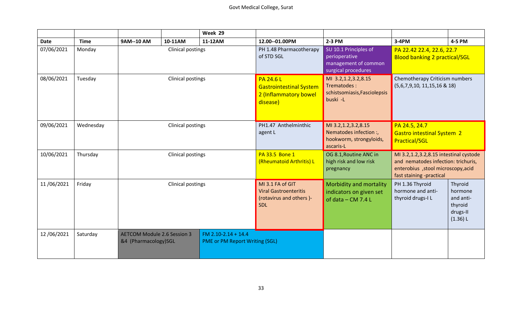|             |             |                                                            |                          | Week 29                                                      |                                                                                         |                                                                                          |                                                                                                                                                  |                                                                    |  |
|-------------|-------------|------------------------------------------------------------|--------------------------|--------------------------------------------------------------|-----------------------------------------------------------------------------------------|------------------------------------------------------------------------------------------|--------------------------------------------------------------------------------------------------------------------------------------------------|--------------------------------------------------------------------|--|
| <b>Date</b> | <b>Time</b> | 9AM--10 AM                                                 | 10-11AM                  | 11-12AM                                                      | 12.00--01.00PM                                                                          | 2-3 PM                                                                                   | $3-4PM$                                                                                                                                          | 4-5 PM                                                             |  |
| 07/06/2021  | Monday      |                                                            | <b>Clinical postings</b> |                                                              | PH 1.48 Pharmacotherapy<br>of STD SGL                                                   | SU 10.1 Principles of<br>perioperative<br>management of common<br>surgical procedures    | PA 22.42 22.4, 22.6, 22.7<br><b>Blood banking 2 practical/SGL</b>                                                                                |                                                                    |  |
| 08/06/2021  | Tuesday     |                                                            | <b>Clinical postings</b> |                                                              | <b>PA 24.6 L</b><br><b>Gastrointestinal System</b><br>2 (Inflammatory bowel<br>disease) | MI 3.2, 1.2, 3.2, 8.15<br>Trematodes:<br>schistsomiasis, Fasciolepsis<br>buski -L        | Chemotherapy Criticism numbers<br>(5,6,7,9,10, 11,15,16 & 18)                                                                                    |                                                                    |  |
| 09/06/2021  | Wednesday   |                                                            | <b>Clinical postings</b> |                                                              | PH1.47 Anthelminthic<br>agent L                                                         | MI 3.2, 1.2, 3.2, 8.15<br>Nematodes infection :,<br>hookworm, strongyloids,<br>ascaris-L | PA 24.5, 24.7<br><b>Gastro intestinal System 2</b><br><b>Practical/SGL</b>                                                                       |                                                                    |  |
| 10/06/2021  | Thursday    |                                                            | Clinical postings        |                                                              | PA 33.5 Bone 1<br>(Rheumatoid Arthritis) L                                              | OG 8.1, Routine ANC in<br>high risk and low risk<br>pregnancy                            | MI 3.2,1.2,3.2,8.15 intestinal cystode<br>and nematodes infection: trichuris,<br>enterobius , stool microscopy, acid<br>fast staining -practical |                                                                    |  |
| 11/06/2021  | Friday      | <b>Clinical postings</b>                                   |                          |                                                              | MI 3.1 FA of GIT<br><b>Viral Gastroenteritis</b><br>(rotavirus and others)-<br>SDL      | Morbidity and mortality<br>indicators on given set<br>of data $-$ CM 7.4 L               | PH 1.36 Thyroid<br>hormone and anti-<br>thyroid drugs-I L                                                                                        | Thyroid<br>hormone<br>and anti-<br>thyroid<br>drugs-II<br>(1.36) L |  |
| 12/06/2021  | Saturday    | <b>AETCOM Module 2.6 Session 3</b><br>&4 (Pharmacology)SGL |                          | FM 2.10-2.14 + 14.4<br><b>PME or PM Report Writing (SGL)</b> |                                                                                         |                                                                                          |                                                                                                                                                  |                                                                    |  |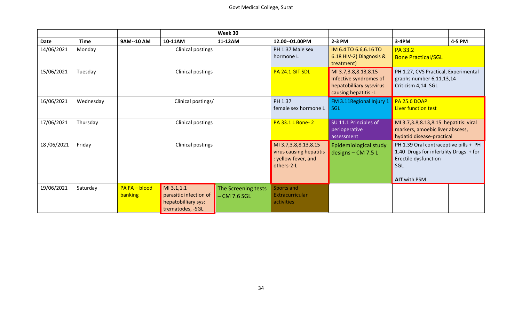|             |             |                          |                                                                                                                                       | Week 30                               |                                                                                         |                                                                                                        |                                                                                                                                       |        |
|-------------|-------------|--------------------------|---------------------------------------------------------------------------------------------------------------------------------------|---------------------------------------|-----------------------------------------------------------------------------------------|--------------------------------------------------------------------------------------------------------|---------------------------------------------------------------------------------------------------------------------------------------|--------|
| <b>Date</b> | <b>Time</b> | 9AM--10 AM               | 10-11AM                                                                                                                               | 11-12AM                               | 12.00--01.00PM                                                                          | 2-3 PM                                                                                                 | 3-4PM                                                                                                                                 | 4-5 PM |
| 14/06/2021  | Monday      |                          | Clinical postings<br>PH 1.37 Male sex<br>IM 6.4 TO 6.6,6.16 TO<br><b>PA 33.2</b><br>6.18 HIV-2(Diagnosis &<br>hormone L<br>treatment) |                                       |                                                                                         |                                                                                                        | <b>Bone Practical/SGL</b>                                                                                                             |        |
| 15/06/2021  | Tuesday     |                          | <b>Clinical postings</b>                                                                                                              |                                       | PA 24.1 GIT SDL                                                                         | MI 3.7, 3.8, 8.13, 8.15<br>Infective syndromes of<br>hepatobilliary sys: virus<br>causing hepatitis -L | PH 1.27, CVS Practical, Experimental<br>graphs number 6,11,13,14<br>Criticism 4,14. SGL                                               |        |
| 16/06/2021  | Wednesday   |                          | Clinical postings/                                                                                                                    |                                       | PH 1.37<br>female sex hormone L                                                         | FM 3.11Regional Injury 1<br>SGL                                                                        | <b>PA 25.6 DOAP</b><br>Liver function test                                                                                            |        |
| 17/06/2021  | Thursday    |                          | Clinical postings                                                                                                                     |                                       | PA 33.1 L Bone- 2                                                                       | SU 11.1 Principles of<br>perioperative<br>assessment                                                   | MI 3.7, 3.8, 8.13, 8.15 hepatitis: viral<br>markers, amoebic liver abscess,<br>hydatid disease-practical                              |        |
| 18/06/2021  | Friday      |                          | <b>Clinical postings</b>                                                                                                              |                                       | MI 3.7, 3.8, 8.13, 8.15<br>virus causing hepatitis<br>: yellow fever, and<br>others-2-L | <b>Epidemiological study</b><br>designs - CM 7.5 L                                                     | PH 1.39 Oral contraceptive pills + PH<br>1.40 Drugs for infertility Drugs + for<br>Erectile dysfunction<br>SGL<br><b>AIT</b> with PSM |        |
| 19/06/2021  | Saturday    | PA FA - blood<br>banking | MI 3.1,1.1<br>parasitic infection of<br>hepatobilliary sys:<br>trematodes, -SGL                                                       | The Screening tests<br>$-$ CM 7.6 SGL | Sports and<br>Extracurricular<br>activities                                             |                                                                                                        |                                                                                                                                       |        |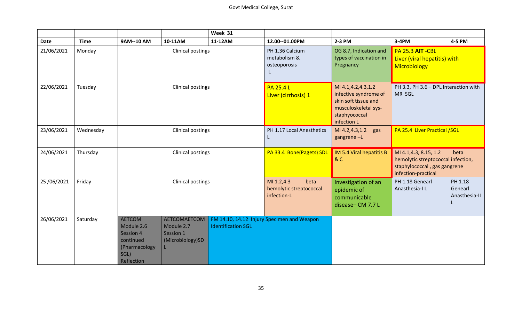|             |             |                                                                                              |                                                                         | Week 31                   |                                                              |                                                                                                                             |                                                                                                                    |                                     |  |  |
|-------------|-------------|----------------------------------------------------------------------------------------------|-------------------------------------------------------------------------|---------------------------|--------------------------------------------------------------|-----------------------------------------------------------------------------------------------------------------------------|--------------------------------------------------------------------------------------------------------------------|-------------------------------------|--|--|
| <b>Date</b> | <b>Time</b> | 9AM--10 AM                                                                                   | 10-11AM                                                                 | 11-12AM                   | 12.00--01.00PM                                               | 2-3 PM                                                                                                                      | $3-4PM$                                                                                                            | 4-5 PM                              |  |  |
| 21/06/2021  | Monday      |                                                                                              | <b>Clinical postings</b>                                                |                           | PH 1.36 Calcium<br>metabolism &<br>osteoporosis<br>L.        | OG 8.7, Indication and<br>types of vaccination in<br>Pregnancy                                                              | PA 25.3 AIT-CBL<br>Liver (viral hepatitis) with<br>Microbiology                                                    |                                     |  |  |
| 22/06/2021  | Tuesday     |                                                                                              | <b>Clinical postings</b>                                                |                           | <b>PA 25.4 L</b><br>Liver (cirrhosis) 1                      | MI 4.1,4.2,4.3,1.2<br>infective syndrome of<br>skin soft tissue and<br>musculoskeletal sys-<br>staphyococcal<br>infection L | PH 3.3, PH 3.6 - DPL Interaction with<br>MR SGL                                                                    |                                     |  |  |
| 23/06/2021  | Wednesday   |                                                                                              | Clinical postings                                                       |                           | PH 1.17 Local Anesthetics<br>L                               | MI 4.2,4.3,1.2<br>gas<br>gangrene-L                                                                                         |                                                                                                                    | PA 25.4 Liver Practical /SGL        |  |  |
| 24/06/2021  | Thursday    |                                                                                              | <b>Clinical postings</b>                                                |                           | PA 33.4 Bone(Pagets) SDL                                     | IM 5.4 Viral hepatitis B<br>&c                                                                                              | MI 4.1,4.3, 8.15, 1.2<br>hemolytic streptococcal infection,<br>staphylococcal, gas gangrene<br>infection-practical | beta                                |  |  |
| 25/06/2021  | Friday      |                                                                                              | <b>Clinical postings</b>                                                |                           | MI 1.2,4.3<br>beta<br>hemolytic streptococcal<br>infection-L | Investigation of an<br>epidemic of<br>communicable<br>disease-CM 7.7 L                                                      | PH 1.18 Genearl<br>Anasthesia-IL                                                                                   | PH 1.18<br>Genearl<br>Anasthesia-II |  |  |
| 26/06/2021  | Saturday    | <b>AETCOM</b><br>Module 2.6<br>Session 4<br>continued<br>(Pharmacology<br>SGL)<br>Reflection | <b>AETCOMAETCOM</b><br>Module 2.7<br>Session 1<br>(Microbiology)SD<br>г | <b>Identification SGL</b> | FM 14.10, 14.12 Injury Specimen and Weapon                   |                                                                                                                             |                                                                                                                    |                                     |  |  |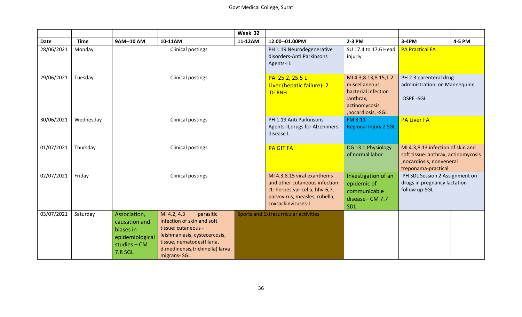|            |             |                                                                                          |                                                                                                                                                                                                 | Week 32 |                                                                                                                                                        |                                                                                                                   |                                                                                                                              |        |
|------------|-------------|------------------------------------------------------------------------------------------|-------------------------------------------------------------------------------------------------------------------------------------------------------------------------------------------------|---------|--------------------------------------------------------------------------------------------------------------------------------------------------------|-------------------------------------------------------------------------------------------------------------------|------------------------------------------------------------------------------------------------------------------------------|--------|
| Date       | <b>Time</b> | 9AM--10 AM                                                                               | 10-11AM                                                                                                                                                                                         | 11-12AM | 12.00--01.00PM                                                                                                                                         | 2-3 PM                                                                                                            | 3-4PM                                                                                                                        | 4-5 PM |
| 28/06/2021 | Monday      |                                                                                          | <b>Clinical postings</b>                                                                                                                                                                        |         | PH 1.19 Neurodegenerative<br>disorders-Anti Parkinsons<br>Agents-IL                                                                                    | SU 17.4 to 17.6 Head<br>injuriy                                                                                   | <b>PA Practical FA</b>                                                                                                       |        |
| 29/06/2021 | Tuesday     |                                                                                          | <b>Clinical postings</b>                                                                                                                                                                        |         | PA 25.2, 25.5 L<br>Liver (hepatic failure)-2<br><b>Dr RNH</b>                                                                                          | MI 4.3,8.13,8.15,1.2<br>miscellaneous<br>bacterial infection<br>:anthrax,<br>actinomycosis<br>, nocardiosis, -SGL | PH 2.3 parenteral drug<br>administration on Mannequine<br>OSPE-SGL                                                           |        |
| 30/06/2021 | Wednesday   |                                                                                          | <b>Clinical postings</b>                                                                                                                                                                        |         | PH 1.19 Anti Parkinsons<br>Agents-II, drugs for Alzehimers<br>disease L                                                                                | <b>FM 3.11</b><br><b>Regional Injury 2 SGL</b>                                                                    | <b>PA Liver FA</b>                                                                                                           |        |
| 01/07/2021 | Thursday    |                                                                                          | <b>Clinical postings</b>                                                                                                                                                                        |         | <b>PA GIT FA</b>                                                                                                                                       | OG 13.1, Physiology<br>of normal labor                                                                            | MI 4.3,8.13 infection of skin and<br>soft tissue: anthrax, actinomycosis<br>, nocardiosis, nonveneral<br>treponama-practical |        |
| 02/07/2021 | Friday      |                                                                                          | <b>Clinical postings</b>                                                                                                                                                                        |         | MI 4.3,8.15 viral exanthems<br>and other cutaneous infection<br>:1: herpes, varicella, hhv-6,7,<br>parvovirus, measles, rubella,<br>coxsackieviruses-L | Investigation of an<br>epidemic of<br>communicable<br>disease-CM 7.7<br><b>SDL</b>                                | PH SDL Session 2 Assignment on<br>drugs in pregnancy lactation<br>follow up-SGL                                              |        |
| 03/07/2021 | Saturday    | Association,<br>causation and<br>biases in<br>epidemiological<br>studies - CM<br>7.8 SGL | MI 4.2, 4.3<br>parasitic<br>infection of skin and soft<br>tissue: cutaneous -<br>leishmaniasis, cystecercosis,<br>tissue, nematodes(filaria,<br>d.medinensis, trichinella) larva<br>migrans-SGL |         | <b>Sports and Extracurricular activities</b>                                                                                                           |                                                                                                                   |                                                                                                                              |        |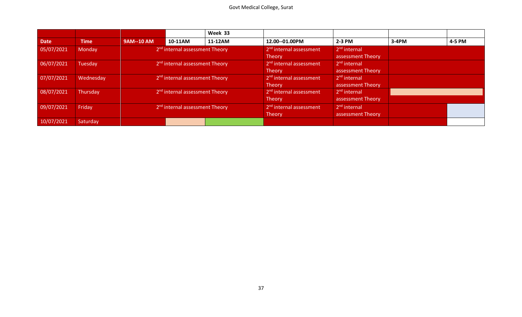|             |                 |                   |                                            | Week 33 |                                     |                          |       |        |
|-------------|-----------------|-------------------|--------------------------------------------|---------|-------------------------------------|--------------------------|-------|--------|
| <b>Date</b> | <b>Time</b>     | <b>9AM--10 AM</b> | 10-11AM                                    | 11-12AM | 12.00--01.00PM                      | 2-3 PM                   | 3-4PM | 4-5 PM |
| 05/07/2021  | Monday          |                   | 2 <sup>nd</sup> internal assessment Theory |         | 2 <sup>nd</sup> internal assessment | 2 <sup>nd</sup> internal |       |        |
|             |                 |                   |                                            |         | <b>Theory</b>                       | assessment Theory        |       |        |
| 06/07/2021  | Tuesday         |                   | 2 <sup>nd</sup> internal assessment Theory |         | 2 <sup>nd</sup> internal assessment | $2nd$ internal           |       |        |
|             |                 |                   |                                            |         | <b>Theory</b>                       | assessment Theory        |       |        |
| 07/07/2021  | Wednesday       |                   | 2 <sup>nd</sup> internal assessment Theory |         | 2 <sup>nd</sup> internal assessment | $2nd$ internal           |       |        |
|             |                 |                   |                                            |         | <b>Theory</b>                       | assessment Theory        |       |        |
| 08/07/2021  | <b>Thursday</b> |                   | 2 <sup>nd</sup> internal assessment Theory |         | 2 <sup>nd</sup> internal assessment | $2nd$ internal           |       |        |
|             |                 |                   |                                            |         | <b>Theory</b>                       | assessment Theory        |       |        |
| 09/07/2021  | Friday          |                   | 2 <sup>nd</sup> internal assessment Theory |         | 2 <sup>nd</sup> internal assessment | $2nd$ internal           |       |        |
|             |                 |                   |                                            |         | <b>Theory</b>                       | assessment Theory        |       |        |
| 10/07/2021  | Saturday        |                   |                                            |         |                                     |                          |       |        |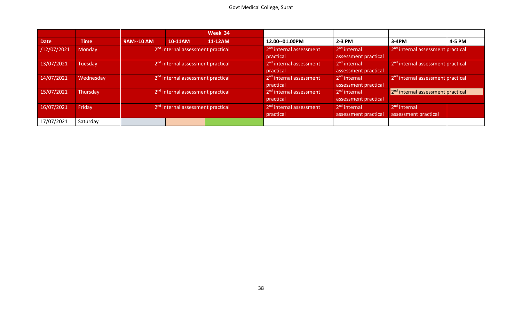|             |             |                                               |                                               | Week 34 |                                                  |                                                  |                                                  |        |  |
|-------------|-------------|-----------------------------------------------|-----------------------------------------------|---------|--------------------------------------------------|--------------------------------------------------|--------------------------------------------------|--------|--|
| <b>Date</b> | <b>Time</b> | <b>9AM--10 AM</b>                             | 10-11AM                                       | 11-12AM | 12.00--01.00PM                                   | 2-3 PM                                           | $3-4PM$                                          | 4-5 PM |  |
| /12/07/2021 | Monday      |                                               | 2 <sup>nd</sup> internal assessment practical |         | 2 <sup>nd</sup> internal assessment<br>practical | 2 <sup>nd</sup> internal<br>assessment practical | 2 <sup>nd</sup> internal assessment practical    |        |  |
| 13/07/2021  | Tuesday     |                                               | 2 <sup>nd</sup> internal assessment practical |         | 2 <sup>nd</sup> internal assessment<br>practical | $2nd$ internal<br>assessment practical           | 2 <sup>nd</sup> internal assessment practical    |        |  |
| 14/07/2021  | Wednesday   | 2 <sup>nd</sup> internal assessment practical |                                               |         | 2 <sup>nd</sup> internal assessment<br>practical | 2 <sup>nd</sup> internal<br>assessment practical | 2 <sup>nd</sup> internal assessment practical    |        |  |
| 15/07/2021  | Thursday    |                                               | 2 <sup>nd</sup> internal assessment practical |         | 2 <sup>nd</sup> internal assessment<br>practical | 2 <sup>nd</sup> internal<br>assessment practical | 2 <sup>nd</sup> internal assessment practical    |        |  |
| 16/07/2021  | Friday      |                                               | 2 <sup>nd</sup> internal assessment practical |         | 2 <sup>nd</sup> internal assessment<br>practical | $2nd$ internal<br>assessment practical           | 2 <sup>nd</sup> internal<br>assessment practical |        |  |
| 17/07/2021  | Saturday    |                                               |                                               |         |                                                  |                                                  |                                                  |        |  |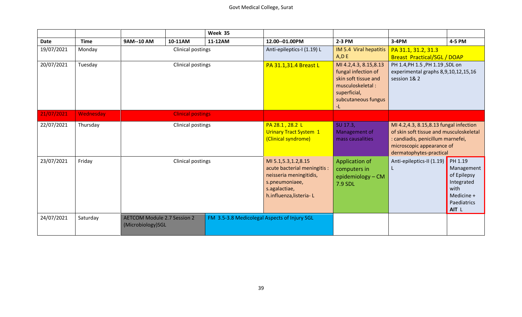|             |             |                                                         |                          | Week 35                                      |                                                                                                                                                 |                                                                                                                                          |                                                                                                                                                                                 |                                                                                                  |
|-------------|-------------|---------------------------------------------------------|--------------------------|----------------------------------------------|-------------------------------------------------------------------------------------------------------------------------------------------------|------------------------------------------------------------------------------------------------------------------------------------------|---------------------------------------------------------------------------------------------------------------------------------------------------------------------------------|--------------------------------------------------------------------------------------------------|
| <b>Date</b> | <b>Time</b> | 9AM--10 AM                                              | 10-11AM                  | 11-12AM                                      | 12.00--01.00PM                                                                                                                                  | 2-3 PM                                                                                                                                   | 3-4PM                                                                                                                                                                           | 4-5 PM                                                                                           |
| 19/07/2021  | Monday      |                                                         | <b>Clinical postings</b> |                                              | Anti-epileptics-I (1.19) L                                                                                                                      | IM 5.4 Viral hepatitis<br>A, D E                                                                                                         | PA 31.1, 31.2, 31.3<br><b>Breast Practical/SGL / DOAP</b>                                                                                                                       |                                                                                                  |
| 20/07/2021  | Tuesday     | <b>Clinical postings</b>                                |                          |                                              | PA 31.1,31.4 Breast L                                                                                                                           | MI 4.2,4.3, 8.15, 8.13<br>fungal infection of<br>skin soft tissue and<br>musculoskeletal :<br>superficial,<br>subcutaneous fungus<br>-L. | PH 1.4, PH 1.5, PH 1.19, SDL on<br>experimental graphs 8,9,10,12,15,16<br>session 1& 2                                                                                          |                                                                                                  |
| 21/07/2021  | Wednesday   |                                                         | <b>Clinical postings</b> |                                              |                                                                                                                                                 |                                                                                                                                          |                                                                                                                                                                                 |                                                                                                  |
| 22/07/2021  | Thursday    | <b>Clinical postings</b>                                |                          |                                              | PA 28.1, 28.2 L<br>Urinary Tract System 1<br>(Clinical syndrome)                                                                                | SU 17.3,<br>Management of<br>mass causalities                                                                                            | MI 4.2,4.3, 8.15, 8.13 fungal infection<br>of skin soft tissue and musculoskeletal<br>: candiadis, penicillum marnefei,<br>microscopic appearance of<br>dermatophytes-practical |                                                                                                  |
| 23/07/2021  | Friday      | <b>Clinical postings</b>                                |                          |                                              | MI 5.1, 5.3, 1.2, 8.15<br>acute bacterial meningitis :<br>neisseria meningitidis,<br>s.pneumoniaee,<br>s.agalactiae,<br>h.influenza, listeria-L | Application of<br>computers in<br>epidemiology - CM<br>7.9 SDL                                                                           | Anti-epileptics-II (1.19)<br>$\lfloor$                                                                                                                                          | PH 1.19<br>Management<br>of Epilepsy<br>Integrated<br>with<br>Medicine +<br>Paediatrics<br>AIT L |
| 24/07/2021  | Saturday    | <b>AETCOM Module 2.7 Session 2</b><br>(Microbiology)SGL |                          | FM 3.5-3.8 Medicolegal Aspects of Injury SGL |                                                                                                                                                 |                                                                                                                                          |                                                                                                                                                                                 |                                                                                                  |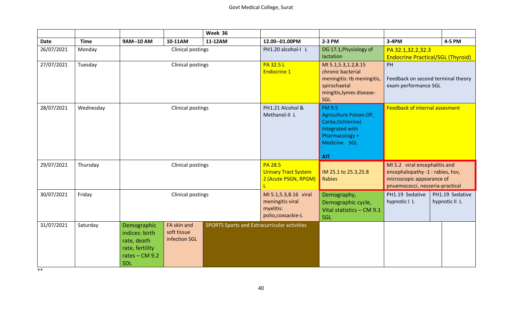|             |             |                                                                                                   |                                             | Week 36                                      |                                                                              |                                                                                                                                                            |                                                                                                                                   |                                    |
|-------------|-------------|---------------------------------------------------------------------------------------------------|---------------------------------------------|----------------------------------------------|------------------------------------------------------------------------------|------------------------------------------------------------------------------------------------------------------------------------------------------------|-----------------------------------------------------------------------------------------------------------------------------------|------------------------------------|
| <b>Date</b> | <b>Time</b> | 9AM--10 AM                                                                                        | 10-11AM                                     | 11-12AM                                      | 12.00--01.00PM                                                               | 2-3 PM                                                                                                                                                     | 3-4PM                                                                                                                             | 4-5 PM                             |
| 26/07/2021  | Monday      |                                                                                                   | <b>Clinical postings</b>                    |                                              | PH1.20 alcohol-I L                                                           | OG 17.1, Physiology of<br>lactation                                                                                                                        | PA 32.1,32.2,32.3<br><b>Endocrine Practical/SGL (Thyroid)</b>                                                                     |                                    |
| 27/07/2021  | Tuesday     |                                                                                                   | <b>Clinical postings</b>                    |                                              | <b>PA 32.5 L</b><br><b>Endocrine 1</b>                                       | MI 5.1, 5.3, 1.2, 8.15<br>PH<br>chronic bacterial<br>meningitis: tb meningitis,<br>spirochaetal<br>exam performance SGL<br>mingitis, lymes disease-<br>SGL |                                                                                                                                   | Feedback on second terminal theory |
| 28/07/2021  | Wednesday   | <b>Clinical postings</b>                                                                          |                                             |                                              | PH1.21 Alcohol &<br>Methanol-II L                                            | <b>FM 9.5</b><br>Agriculture Poison OP,<br>Carba, Ochlorine)<br>Integrated with<br>Pharmacology +<br>Medicine SGL<br><b>AIT</b>                            | <b>Feedback of internal assesment</b>                                                                                             |                                    |
| 29/07/2021  | Thursday    |                                                                                                   | <b>Clinical postings</b>                    |                                              | <b>PA 28.5</b><br><b>Urinary Tract System</b><br>2 (Acute PSGN, RPGM)        | IM 25.1 to 25.3,25.8<br>Rabies                                                                                                                             | MI 5.2 viral encephalitis and<br>encephalopathy -1 : rabies, hsv,<br>microscopic appearance of<br>pnuemococci, nesseria-practical |                                    |
| 30/07/2021  | Friday      |                                                                                                   | <b>Clinical postings</b>                    |                                              | MI 5.1,5.3,8.16 viral<br>meningitis viral<br>myelitis:<br>polio, coxsackie-L | Demography,<br>Demographic cycle,<br>Vital statistics - CM 9.1<br>SGL                                                                                      | PH1.19 Sedative<br>hypnotic I L                                                                                                   | PH1.19 Sedative<br>hypnotic II L   |
| 31/07/2021  | Saturday    | Demographic<br>indices: birth<br>rate, death<br>rate, fertility<br>rates $-$ CM 9.2<br><b>SDL</b> | FA skin and<br>soft tissue<br>infection SGL | SPORTS Sports and Extracurricular activities |                                                                              |                                                                                                                                                            |                                                                                                                                   |                                    |

\*\*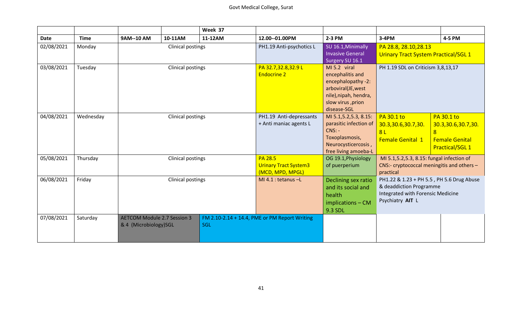|             |             |                                                             |                          | Week 37 |                                                                    |                                                                                                                                            |                                                                                                                               |                                                                                                |  |
|-------------|-------------|-------------------------------------------------------------|--------------------------|---------|--------------------------------------------------------------------|--------------------------------------------------------------------------------------------------------------------------------------------|-------------------------------------------------------------------------------------------------------------------------------|------------------------------------------------------------------------------------------------|--|
| <b>Date</b> | <b>Time</b> | 9AM--10 AM                                                  | 10-11AM                  | 11-12AM | 12.00--01.00PM                                                     | 2-3 PM                                                                                                                                     | 3-4PM                                                                                                                         | 4-5 PM                                                                                         |  |
| 02/08/2021  | Monday      |                                                             | Clinical postings        |         | PH1.19 Anti-psychotics L                                           | SU 16.1, Minimally<br><b>Invasive General</b><br>Surgery SU 16.1                                                                           | PA 28.8, 28.10, 28.13<br><b>Urinary Tract System Practical/SGL 1</b>                                                          |                                                                                                |  |
| 03/08/2021  | Tuesday     |                                                             | <b>Clinical postings</b> |         | PA 32.7,32.8,32.9 L<br><b>Endocrine 2</b>                          | MI 5.2 viral<br>encephalitis and<br>encephalopathy -2:<br>arboviral(JE, west<br>nile), nipah, hendra,<br>slow virus , prion<br>disease-SGL | PH 1.19 SDL on Criticism 3,8,13,17                                                                                            |                                                                                                |  |
| 04/08/2021  | Wednesday   |                                                             | <b>Clinical postings</b> |         |                                                                    | MI 5.1, 5.2, 5.3, 8.15:<br>parasitic infection of<br>$CNS: -$<br>Toxoplasmosis,<br>Neurocysticercosis,<br>free living amoeba-L             | PA 30.1 to<br>30.3,30.6,30.7,30.<br>8L<br><b>Female Genital 1</b>                                                             | <b>PA 30.1 to</b><br>30.3,30.6,30.7,30.<br>8<br><b>Female Genital</b><br><b>Practical/SGL1</b> |  |
| 05/08/2021  | Thursday    |                                                             | <b>Clinical postings</b> |         | <b>PA 28.5</b><br><b>Urinary Tract System3</b><br>(MCD, MPD, MPGL) | OG 19.1, Physiology<br>of puerperium                                                                                                       | MI 5.1, 5.2, 5.3, 8.15: fungal infection of<br>CNS:- cryptococcal meningitis and others -<br>practical                        |                                                                                                |  |
| 06/08/2021  | Friday      | <b>Clinical postings</b>                                    |                          |         | MI $4.1$ : tetanus -L                                              | Declining sex ratio<br>and its social and<br>health<br>implications - CM<br>9.3 SDL                                                        | PH1.22 & 1.23 + PH 5.5, PH 5.6 Drug Abuse<br>& deaddiction Programme<br>Integrated with Forensic Medicine<br>Psychiatry AIT L |                                                                                                |  |
| 07/08/2021  | Saturday    | <b>AETCOM Module 2.7 Session 3</b><br>& 4 (Microbiology)SGL |                          | SGL     | FM 2.10-2.14 + 14.4, PME or PM Report Writing                      |                                                                                                                                            |                                                                                                                               |                                                                                                |  |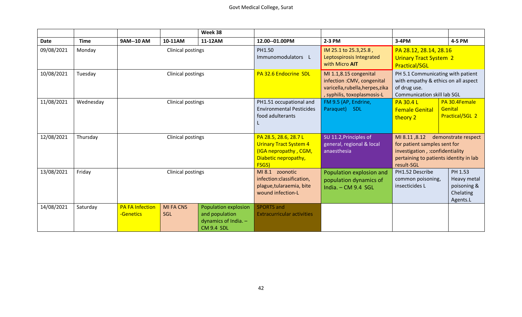|             |             |                                     |                                | Week 38                                                                               |                                                                                                                         |                                                                                                                         |                                                                                                                                          |                                                                |
|-------------|-------------|-------------------------------------|--------------------------------|---------------------------------------------------------------------------------------|-------------------------------------------------------------------------------------------------------------------------|-------------------------------------------------------------------------------------------------------------------------|------------------------------------------------------------------------------------------------------------------------------------------|----------------------------------------------------------------|
| <b>Date</b> | <b>Time</b> | 9AM--10 AM                          | 10-11AM                        | 11-12AM                                                                               | 12.00--01.00PM                                                                                                          | 2-3 PM                                                                                                                  | 3-4PM                                                                                                                                    | 4-5 PM                                                         |
| 09/08/2021  | Monday      | Clinical postings                   |                                |                                                                                       | PH1.50<br>Immunomodulators L                                                                                            | IM 25.1 to 25.3, 25.8,<br>Leptospirosis Integrated<br>with Micro AIT                                                    | PA 28.12, 28.14, 28.16<br><b>Urinary Tract System 2</b><br><b>Practical/SGL</b>                                                          |                                                                |
| 10/08/2021  | Tuesday     |                                     | Clinical postings              |                                                                                       | PA 32.6 Endocrine SDL                                                                                                   | MI 1.1,8.15 congenital<br>infection: CMV, congenital<br>varicella, rubella, herpes, zika<br>, syphilis, toxoplasmosis-L | PH 5.1 Communicating with patient<br>with empathy & ethics on all aspect<br>of drug use.<br><b>Communication skill lab SGL</b>           |                                                                |
| 11/08/2021  | Wednesday   |                                     | Clinical postings              |                                                                                       | PH1.51 occupational and<br><b>Environmental Pesticides</b><br>food adulterants                                          | FM 9.5 (AP, Endrine,<br>Paraquet) SDL                                                                                   | <b>PA 30.4 L</b><br><b>Female Genital</b><br>theory 2                                                                                    | PA 30.4Female<br>Genital<br><b>Practical/SGL 2</b>             |
| 12/08/2021  | Thursday    |                                     | Clinical postings              |                                                                                       | PA 28.5, 28.6, 28.7 L<br><b>Urinary Tract System 4</b><br>(IGA nepropathy, CGM,<br>Diabetic nepropathy,<br><b>FSGS)</b> | SU 11.2, Principles of<br>general, regional & local<br>anaesthesia                                                      | MI 8.11, 8.12<br>for patient samples sent for<br>investigation, :confidentiality<br>pertaining to patients identity in lab<br>result-SGL | demonstrate respect                                            |
| 13/08/2021  | Friday      | Clinical postings                   |                                |                                                                                       | MI 8.1 zoonotic<br>infection:classification,<br>plague, tularaemia, bite<br>wound infection-L                           | Population explosion and<br>population dynamics of<br>India. - CM 9.4 SGL                                               | PH1.52 Describe<br>common poisoning,<br>insecticides L                                                                                   | PH 1.53<br>Heavy metal<br>poisoning &<br>Chelating<br>Agents.L |
| 14/08/2021  | Saturday    | <b>PA FA Infection</b><br>-Genetics | <b>MI FA CNS</b><br><b>SGL</b> | Population explosion<br>and population<br>dynamics of India. $-$<br><b>CM 9.4 SDL</b> | <b>SPORTS and</b><br><b>Extracurricular activities</b>                                                                  |                                                                                                                         |                                                                                                                                          |                                                                |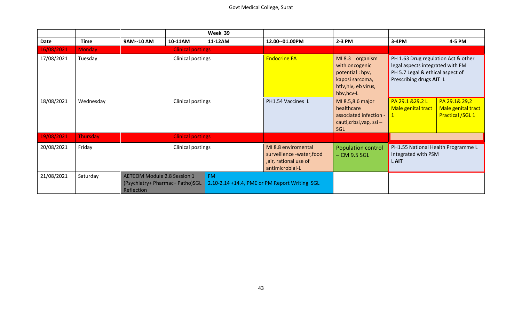|            |                 |                                                                                     |                          | Week 39   |                                                                                              |                                                                                                                |                                                                                                                                        |                                                               |
|------------|-----------------|-------------------------------------------------------------------------------------|--------------------------|-----------|----------------------------------------------------------------------------------------------|----------------------------------------------------------------------------------------------------------------|----------------------------------------------------------------------------------------------------------------------------------------|---------------------------------------------------------------|
| Date       | <b>Time</b>     | 9AM--10 AM                                                                          | 10-11AM                  | 11-12AM   | 12.00--01.00PM                                                                               | 2-3 PM                                                                                                         | $3-4PM$                                                                                                                                | 4-5 PM                                                        |
| 16/08/2021 | <b>Monday</b>   |                                                                                     | <b>Clinical postings</b> |           |                                                                                              |                                                                                                                |                                                                                                                                        |                                                               |
| 17/08/2021 | Tuesday         | Clinical postings                                                                   |                          |           | <b>Endocrine FA</b>                                                                          | MI 8.3 organism<br>with oncogenic<br>potential : hpv,<br>kaposi sarcoma,<br>htlv, hiv, eb virus,<br>hbv, hcv-L | PH 1.63 Drug regulation Act & other<br>legal aspects integrated with FM<br>PH 5.7 Legal & ethical aspect of<br>Prescribing drugs AIT L |                                                               |
| 18/08/2021 | Wednesday       |                                                                                     | Clinical postings        |           | PH1.54 Vaccines L                                                                            | MI 8.5,8.6 major<br>healthcare<br>associated infection -<br>cauti, crbsi, vap, ssi -<br><b>SGL</b>             | PA 29.1 & 29.2 L<br>Male genital tract                                                                                                 | PA 29.1& 29,2<br>Male genital tract<br><b>Practical /SGL1</b> |
| 19/08/2021 | <b>Thursday</b> |                                                                                     | <b>Clinical postings</b> |           |                                                                                              |                                                                                                                |                                                                                                                                        |                                                               |
| 20/08/2021 | Friday          | Clinical postings                                                                   |                          |           | MI 8.8 enviromental<br>surveillence -water, food<br>air, rational use of,<br>antimicrobial-L | <b>Population control</b><br>$-$ CM 9.5 SGL                                                                    | PH1.55 National Health Programme L<br>Integrated with PSM<br><b>LAIT</b>                                                               |                                                               |
| 21/08/2021 | Saturday        | <b>AETCOM Module 2.8 Session 1</b><br>(Psychiatry+ Pharmac+ Patho)SGL<br>Reflection |                          | <b>FM</b> | 2.10-2.14 +14.4, PME or PM Report Writing SGL                                                |                                                                                                                |                                                                                                                                        |                                                               |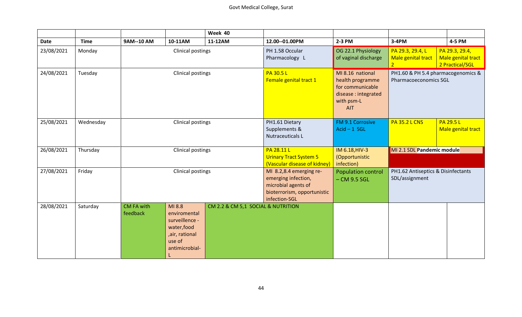|             |             |                        |                                                                                                       | Week 40                            |                                                                                                                       |                                                                                                             |                                                                    |                                                         |  |
|-------------|-------------|------------------------|-------------------------------------------------------------------------------------------------------|------------------------------------|-----------------------------------------------------------------------------------------------------------------------|-------------------------------------------------------------------------------------------------------------|--------------------------------------------------------------------|---------------------------------------------------------|--|
| <b>Date</b> | <b>Time</b> | 9AM--10 AM             | 10-11AM                                                                                               | 11-12AM                            | 12.00--01.00PM                                                                                                        | 2-3 PM                                                                                                      | 3-4PM                                                              | 4-5 PM                                                  |  |
| 23/08/2021  | Monday      |                        | <b>Clinical postings</b>                                                                              |                                    | PH 1.58 Occular<br>Pharmacology L                                                                                     | OG 22.1 Physiology<br>of vaginal discharge                                                                  | PA 29.3, 29.4, L<br>Male genital tract<br>$\overline{2}$           | PA 29.3, 29.4,<br>Male genital tract<br>2 Practical/SGL |  |
| 24/08/2021  | Tuesday     |                        | <b>Clinical postings</b>                                                                              |                                    | <b>PA 30.5 L</b><br>Female genital tract 1                                                                            | MI 8.16 national<br>health programme<br>for communicable<br>disease: integrated<br>with psm-L<br><b>AIT</b> | PH1.60 & PH 5.4 pharmacogenomics &<br><b>Pharmacoeconomics SGL</b> |                                                         |  |
| 25/08/2021  | Wednesday   |                        | <b>Clinical postings</b>                                                                              |                                    | PH1.61 Dietary<br>Supplements &<br><b>Nutraceuticals L</b>                                                            | FM 9.1 Corrosive<br>$Acid - 1$ SGL                                                                          | <b>PA 35.2 L CNS</b>                                               | PA 29.5 L<br>Male genital tract                         |  |
| 26/08/2021  | Thursday    |                        | <b>Clinical postings</b>                                                                              |                                    | PA 28.11 L<br><b>Urinary Tract System 5</b><br>(Vascular disease of kidney)                                           | IM 6.18, HIV-3<br>(Opportunistic<br>infection)                                                              | MI 2.1 SDL Pandemic module                                         |                                                         |  |
| 27/08/2021  | Friday      |                        | <b>Clinical postings</b>                                                                              |                                    | MI 8.2,8.4 emerging re-<br>emerging infection,<br>microbial agents of<br>bioterrorism, opportunistic<br>infection-SGL | <b>Population control</b><br>$-$ CM 9.5 SGL                                                                 | PH1.62 Antiseptics & Disinfectants<br>SDL/assignment               |                                                         |  |
| 28/08/2021  | Saturday    | CM FA with<br>feedback | MI 8.8<br>enviromental<br>surveillence -<br>water, food<br>,air, rational<br>use of<br>antimicrobial- | CM 2.2 & CM 5,1 SOCIAL & NUTRITION |                                                                                                                       |                                                                                                             |                                                                    |                                                         |  |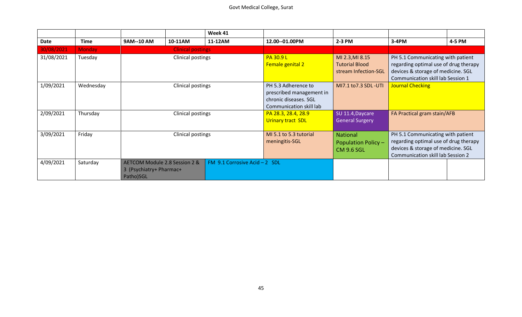|            |               |                                                                       |                          | Week 41                          |                                                                                                     |                                                                    |                                                                                                                                                              |        |
|------------|---------------|-----------------------------------------------------------------------|--------------------------|----------------------------------|-----------------------------------------------------------------------------------------------------|--------------------------------------------------------------------|--------------------------------------------------------------------------------------------------------------------------------------------------------------|--------|
| Date       | <b>Time</b>   | 9AM--10 AM                                                            | 10-11AM                  | 11-12AM                          | 12.00--01.00PM                                                                                      | 2-3 PM                                                             | 3-4PM                                                                                                                                                        | 4-5 PM |
| 30/08/2021 | <b>Monday</b> |                                                                       | <b>Clinical postings</b> |                                  |                                                                                                     |                                                                    |                                                                                                                                                              |        |
| 31/08/2021 | Tuesday       |                                                                       | Clinical postings        |                                  | <b>PA 30.9 L</b><br>Female genital 2                                                                | MI 2.3, MI 8.15<br><b>Tutorial Blood</b><br>stream Infection-SGL   | PH 5.1 Communicating with patient<br>regarding optimal use of drug therapy<br>devices & storage of medicine. SGL<br>Communication skill lab Session 1        |        |
| 1/09/2021  | Wednesday     |                                                                       | Clinical postings        |                                  | PH 5.3 Adherence to<br>prescribed management in<br>chronic diseases. SGL<br>Communication skill lab | MI7.1 to 7.3 SDL - UTI                                             | <b>Journal Checking</b>                                                                                                                                      |        |
| 2/09/2021  | Thursday      |                                                                       | Clinical postings        |                                  | PA 28.3, 28.4, 28.9<br><b>Urinary tract SDL</b>                                                     | SU 11.4, Daycare<br><b>General Surgery</b>                         | FA Practical gram stain/AFB                                                                                                                                  |        |
| 3/09/2021  | Friday        |                                                                       | Clinical postings        |                                  | MI 5.1 to 5.3 tutorial<br>meningitis-SGL                                                            | <b>National</b><br><b>Population Policy -</b><br><b>CM 9.6 SGL</b> | PH 5.1 Communicating with patient<br>regarding optimal use of drug therapy<br>devices & storage of medicine. SGL<br><b>Communication skill lab Session 2</b> |        |
| 4/09/2021  | Saturday      | AETCOM Module 2.8 Session 2 &<br>3 (Psychiatry+ Pharmac+<br>Patho)SGL |                          | FM $9.1$ Corrosive Acid $-2$ SDL |                                                                                                     |                                                                    |                                                                                                                                                              |        |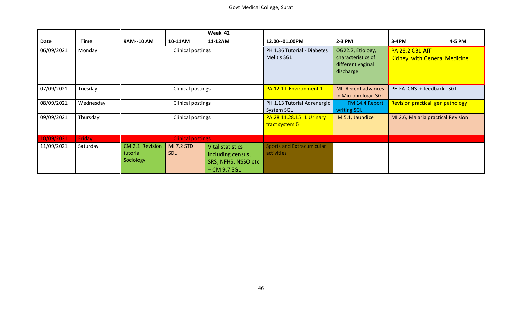|            |               |                                          |                          | Week 42                                                                              |                                                   |                                                                           |                                                               |        |
|------------|---------------|------------------------------------------|--------------------------|--------------------------------------------------------------------------------------|---------------------------------------------------|---------------------------------------------------------------------------|---------------------------------------------------------------|--------|
| Date       | <b>Time</b>   | 9AM--10 AM                               | 10-11AM                  | 11-12AM                                                                              | 12.00--01.00PM                                    | 2-3 PM                                                                    | 3-4PM                                                         | 4-5 PM |
| 06/09/2021 | Monday        | Clinical postings                        |                          |                                                                                      | PH 1.36 Tutorial - Diabetes<br><b>Melitis SGL</b> | OG22.2, Etiology,<br>characteristics of<br>different vaginal<br>discharge | <b>PA 28.2 CBL-AIT</b><br><b>Kidney with General Medicine</b> |        |
| 07/09/2021 | Tuesday       |                                          | Clinical postings        |                                                                                      | PA 12.1 L Environment 1                           | MI-Recent advances<br>in Microbiology -SGL                                | PH FA CNS + feedback SGL                                      |        |
| 08/09/2021 | Wednesday     |                                          | Clinical postings        |                                                                                      | PH 1.13 Tutorial Adrenergic<br>System SGL         | FM 14.4 Report<br>writing SGL                                             | <b>Revision practical gen pathology</b>                       |        |
| 09/09/2021 | Thursday      |                                          | Clinical postings        |                                                                                      | PA 28.11,28.15 L Urinary<br>tract system 6        | IM 5.1, Jaundice                                                          | MI 2.6, Malaria practical Revision                            |        |
| 10/09/2021 | <b>Friday</b> |                                          | <b>Clinical postings</b> |                                                                                      |                                                   |                                                                           |                                                               |        |
| 11/09/2021 | Saturday      | CM 2.1 Revision<br>tutorial<br>Sociology | MI 7.2 STD<br><b>SDL</b> | <b>Vital statistics</b><br>including census,<br>SRS, NFHS, NSSO etc<br>$-CM$ 9.7 SGL | <b>Sports and Extracurricular</b><br>activities   |                                                                           |                                                               |        |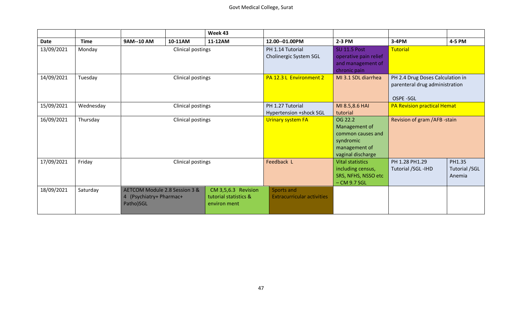|             |             |                                                                                  |                          | Week 43                                                      |                                                 |                                                                                                  |                                                                                 |                                          |  |
|-------------|-------------|----------------------------------------------------------------------------------|--------------------------|--------------------------------------------------------------|-------------------------------------------------|--------------------------------------------------------------------------------------------------|---------------------------------------------------------------------------------|------------------------------------------|--|
| <b>Date</b> | <b>Time</b> | 9AM--10 AM                                                                       | 10-11AM                  | 11-12AM                                                      | 12.00--01.00PM                                  | 2-3 PM                                                                                           | 3-4PM                                                                           | 4-5 PM                                   |  |
| 13/09/2021  | Monday      | Clinical postings                                                                |                          |                                                              | PH 1.14 Tutorial<br>Cholinergic System SGL      | <b>SU 11.5 Post</b><br>operative pain relief<br>and management of<br>chronic pain                | <b>Tutorial</b>                                                                 |                                          |  |
| 14/09/2021  | Tuesday     |                                                                                  | <b>Clinical postings</b> |                                                              | PA 12.3 L Environment 2                         | MI 3.1 SDL diarrhea                                                                              | PH 2.4 Drug Doses Calculation in<br>parenteral drug administration<br>OSPE -SGL |                                          |  |
| 15/09/2021  | Wednesday   |                                                                                  | <b>Clinical postings</b> |                                                              | PH 1.27 Tutorial<br>Hypertension +shock SGL     | MI 8.5,8.6 HAI<br>tutorial                                                                       | PA Revision practical Hemat                                                     |                                          |  |
| 16/09/2021  | Thursday    |                                                                                  | Clinical postings        |                                                              | Urinary system FA                               | OG 22.2<br>Management of<br>common causes and<br>syndromic<br>management of<br>vaginal discharge | Revision of gram /AFB -stain                                                    |                                          |  |
| 17/09/2021  | Friday      |                                                                                  | <b>Clinical postings</b> |                                                              | Feedback L                                      | <b>Vital statistics</b><br>including census,<br>SRS, NFHS, NSSO etc<br>$-$ CM 9.7 SGL            | PH 1.28 PH1.29<br>Tutorial /SGL-IHD                                             | PH1.35<br><b>Tutorial /SGL</b><br>Anemia |  |
| 18/09/2021  | Saturday    | <b>AETCOM Module 2.8 Session 3 &amp;</b><br>4 (Psychiatry+ Pharmac+<br>Patho)SGL |                          | CM 3,5,6.3 Revision<br>tutorial statistics &<br>environ ment | Sports and<br><b>Extracurricular activities</b> |                                                                                                  |                                                                                 |                                          |  |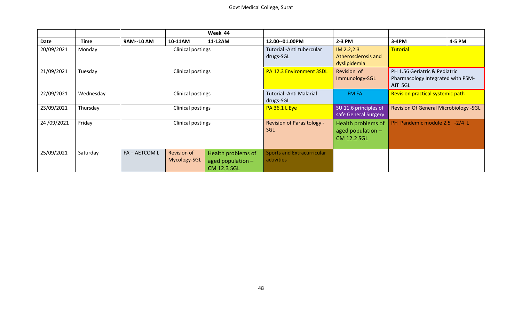|            |             |            |                             | Week 44                                                         |                                                 |                                                                 |                                                                                      |        |
|------------|-------------|------------|-----------------------------|-----------------------------------------------------------------|-------------------------------------------------|-----------------------------------------------------------------|--------------------------------------------------------------------------------------|--------|
| Date       | <b>Time</b> | 9AM--10 AM | 10-11AM                     | 11-12AM                                                         | 12.00--01.00PM                                  | 2-3 PM                                                          | 3-4PM                                                                                | 4-5 PM |
| 20/09/2021 | Monday      |            | Clinical postings           |                                                                 | Tutorial - Anti tubercular<br>drugs-SGL         | IM 2.2, 2.3<br>Atherosclerosis and<br>dyslipidemia              | <b>Tutorial</b>                                                                      |        |
| 21/09/2021 | Tuesday     |            | Clinical postings           |                                                                 | PA 12.3 Environment 3SDL                        | Revision of<br>Immunology-SGL                                   | PH 1.56 Geriatric & Pediatric<br>Pharmacology Integrated with PSM-<br><b>AIT SGL</b> |        |
| 22/09/2021 | Wednesday   |            | Clinical postings           |                                                                 | <b>Tutorial -Anti Malarial</b><br>drugs-SGL     | <b>FM FA</b>                                                    | Revision practical systemic path                                                     |        |
| 23/09/2021 | Thursday    |            | Clinical postings           |                                                                 | <b>PA 36.1 L Eye</b>                            | SU 11.6 principles of<br>safe General Surgery                   | <b>Revision Of General Microbiology -SGL</b>                                         |        |
| 24/09/2021 | Friday      |            | Clinical postings           |                                                                 | <b>Revision of Parasitology -</b><br>SGL        | Health problems of<br>aged population $-$<br><b>CM 12.2 SGL</b> | PH Pandemic module 2.5 -2/4 L                                                        |        |
| 25/09/2021 | Saturday    | FA-AETCOML | Revision of<br>Mycology-SGL | Health problems of<br>aged population $-$<br><b>CM 12.3 SGL</b> | <b>Sports and Extracurricular</b><br>activities |                                                                 |                                                                                      |        |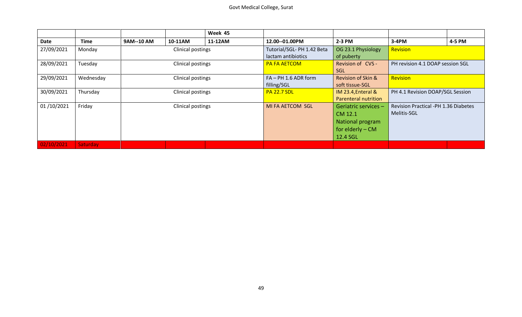|            |                             |                   |         | Week 45          |                            |                                           |                                  |        |  |
|------------|-----------------------------|-------------------|---------|------------------|----------------------------|-------------------------------------------|----------------------------------|--------|--|
| Date       | Time                        | 9AM--10 AM        | 10-11AM | 11-12AM          | 12.00--01.00PM             | 2-3 PM                                    | $3-4PM$                          | 4-5 PM |  |
| 27/09/2021 | Monday                      | Clinical postings |         |                  | Tutorial/SGL- PH 1.42 Beta | OG 23.1 Physiology                        | Revision                         |        |  |
|            |                             |                   |         |                  | lactam antibiotics         | of puberty                                |                                  |        |  |
| 28/09/2021 | Tuesday                     | Clinical postings |         |                  | <b>PA FA AETCOM</b>        | Revision of CVS -                         | PH revision 4.1 DOAP session SGL |        |  |
|            |                             |                   |         |                  |                            | SGL                                       |                                  |        |  |
| 29/09/2021 | Wednesday                   | Clinical postings |         |                  | $FA - PH$ 1.6 ADR form     | Revision<br><b>Revision of Skin &amp;</b> |                                  |        |  |
|            |                             |                   |         |                  | filling/SGL                | soft tissue-SGL                           |                                  |        |  |
| 30/09/2021 | Thursday                    | Clinical postings |         |                  | <b>PA 22.7 SDL</b>         | IM 23.4, Enteral &                        | PH 4.1 Revision DOAP/SGL Session |        |  |
|            |                             |                   |         |                  |                            | <b>Parenteral nutrition</b>               |                                  |        |  |
| 01/10/2021 | Friday<br>Clinical postings |                   |         | MI FA AETCOM SGL | Geriatric services -       | Revision Practical -PH 1.36 Diabetes      |                                  |        |  |
|            |                             |                   |         |                  |                            | CM 12.1                                   | Melitis-SGL                      |        |  |
|            |                             |                   |         |                  |                            | National program                          |                                  |        |  |
|            |                             |                   |         |                  |                            | for elderly $-$ CM                        |                                  |        |  |
|            |                             |                   |         |                  |                            | 12.4 SGL                                  |                                  |        |  |
| 02/10/2021 | Saturday                    |                   |         |                  |                            |                                           |                                  |        |  |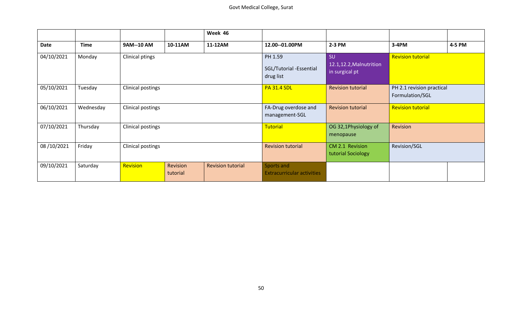|             |             |                          |                      | Week 46                  |                                                 |                                                        |                                              |        |
|-------------|-------------|--------------------------|----------------------|--------------------------|-------------------------------------------------|--------------------------------------------------------|----------------------------------------------|--------|
| <b>Date</b> | <b>Time</b> | 9AM--10 AM               | 10-11AM              | 11-12AM                  | 12.00--01.00PM                                  | 2-3 PM                                                 | 3-4PM                                        | 4-5 PM |
| 04/10/2021  | Monday      | Clinical ptings          |                      |                          | PH 1.59<br>SGL/Tutorial -Essential<br>drug list | <b>SU</b><br>12.1,12.2, Malnutrition<br>in surgical pt | <b>Revision tutorial</b>                     |        |
| 05/10/2021  | Tuesday     | <b>Clinical postings</b> |                      |                          | <b>PA 31.4 SDL</b>                              | <b>Revision tutorial</b>                               | PH 2.1 revision practical<br>Formulation/SGL |        |
| 06/10/2021  | Wednesday   | <b>Clinical postings</b> |                      |                          | FA-Drug overdose and<br>management-SGL          | <b>Revision tutorial</b>                               | <b>Revision tutorial</b>                     |        |
| 07/10/2021  | Thursday    | <b>Clinical postings</b> |                      |                          | <b>Tutorial</b>                                 | OG 32,1Physiology of<br>menopause                      | Revision                                     |        |
| 08/10/2021  | Friday      | <b>Clinical postings</b> |                      |                          | <b>Revision tutorial</b>                        | CM 2.1 Revision<br>tutorial Sociology                  | Revision/SGL                                 |        |
| 09/10/2021  | Saturday    | Revision                 | Revision<br>tutorial | <b>Revision tutorial</b> | Sports and<br><b>Extracurricular activities</b> |                                                        |                                              |        |